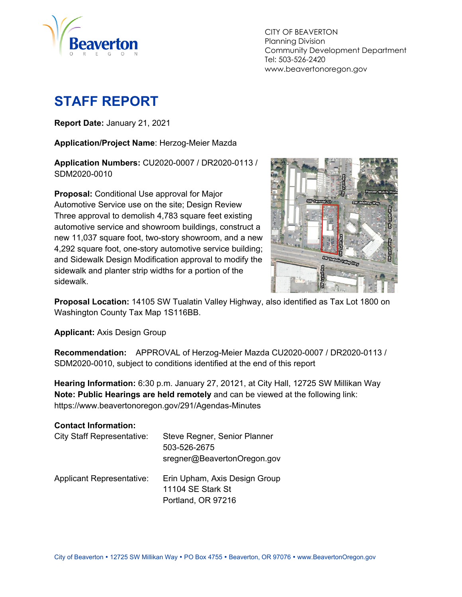

CITY OF BEAVERTON Planning Division Community Development Department Tel: 503-526-2420 www.beavertonoregon.gov

# <span id="page-0-0"></span>**STAFF REPORT**

**Report Date:** January 21, 2021

**Application/Project Name**: Herzog-Meier Mazda

**Application Numbers:** CU2020-0007 / DR2020-0113 / SDM2020-0010

**Proposal:** Conditional Use approval for Major Automotive Service use on the site; Design Review Three approval to demolish 4,783 square feet existing automotive service and showroom buildings, construct a new 11,037 square foot, two-story showroom, and a new 4,292 square foot, one-story automotive service building; and Sidewalk Design Modification approval to modify the sidewalk and planter strip widths for a portion of the sidewalk.



**Proposal Location:** 14105 SW Tualatin Valley Highway, also identified as Tax Lot 1800 on Washington County Tax Map 1S116BB.

**Applicant:** Axis Design Group

**Recommendation:** APPROVAL of Herzog-Meier Mazda CU2020-0007 / DR2020-0113 / SDM2020-0010, subject to conditions identified at the end of this report

**Hearing Information:** 6:30 p.m. January 27, 20121, at City Hall, 12725 SW Millikan Way **Note: Public Hearings are held remotely** and can be viewed at the following link: https://www.beavertonoregon.gov/291/Agendas-Minutes

| <b>Contact Information:</b>       |                                                                          |
|-----------------------------------|--------------------------------------------------------------------------|
| <b>City Staff Representative:</b> | Steve Regner, Senior Planner<br>503-526-2675                             |
|                                   | sregner@BeavertonOregon.gov                                              |
| <b>Applicant Representative:</b>  | Erin Upham, Axis Design Group<br>11104 SE Stark St<br>Portland, OR 97216 |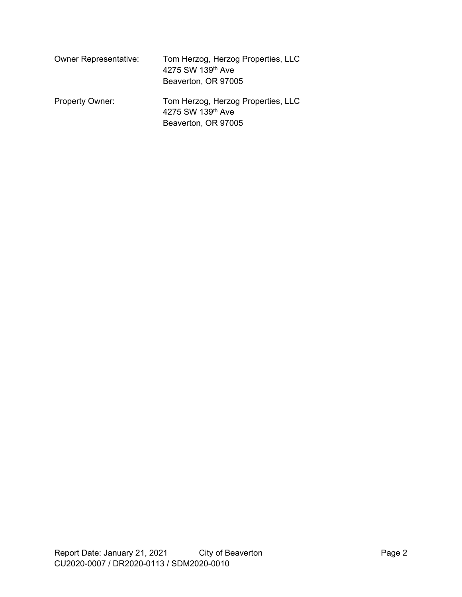| <b>Owner Representative:</b> | Tom Herzog, Herzog Properties, LLC<br>4275 SW 139th Ave<br>Beaverton, OR 97005 |
|------------------------------|--------------------------------------------------------------------------------|
| <b>Property Owner:</b>       | Tom Herzog, Herzog Properties, LLC<br>4275 SW 139th Ave<br>Beaverton, OR 97005 |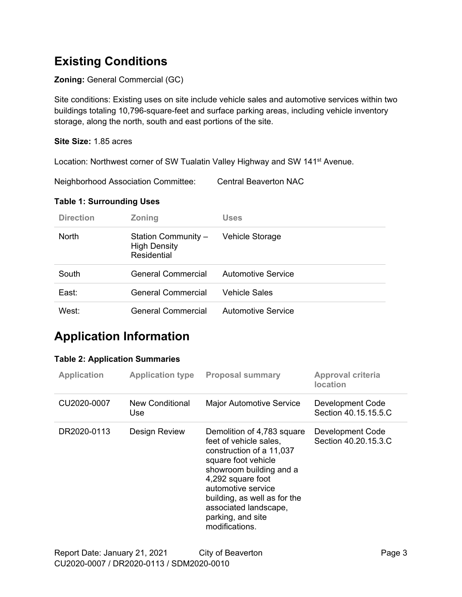## **Existing Conditions**

#### **Zoning:** General Commercial (GC)

Site conditions: Existing uses on site include vehicle sales and automotive services within two buildings totaling 10,796-square-feet and surface parking areas, including vehicle inventory storage, along the north, south and east portions of the site.

#### **Site Size:** 1.85 acres

Location: Northwest corner of SW Tualatin Valley Highway and SW 141<sup>st</sup> Avenue.

Neighborhood Association Committee: Central Beaverton NAC

#### **Table 1: Surrounding Uses**

| <b>Direction</b>  | <b>Zoning</b>                                             | <b>Uses</b>               |
|-------------------|-----------------------------------------------------------|---------------------------|
| <b>North</b>      | Station Community -<br><b>High Density</b><br>Residential | Vehicle Storage           |
| South             | General Commercial                                        | <b>Automotive Service</b> |
| East:             | General Commercial                                        | <b>Vehicle Sales</b>      |
| West <sup>.</sup> | General Commercial                                        | <b>Automotive Service</b> |

## **Application Information**

#### **Table 2: Application Summaries**

| <b>Application</b> | <b>Application type</b> | <b>Proposal summary</b>                                                                                                                                                                                                                                                       | <b>Approval criteria</b><br><b>location</b>     |
|--------------------|-------------------------|-------------------------------------------------------------------------------------------------------------------------------------------------------------------------------------------------------------------------------------------------------------------------------|-------------------------------------------------|
| CU2020-0007        | New Conditional<br>Use  | <b>Major Automotive Service</b>                                                                                                                                                                                                                                               | <b>Development Code</b><br>Section 40.15.15.5.C |
| DR2020-0113        | Design Review           | Demolition of 4,783 square<br>feet of vehicle sales,<br>construction of a 11,037<br>square foot vehicle<br>showroom building and a<br>4,292 square foot<br>automotive service<br>building, as well as for the<br>associated landscape,<br>parking, and site<br>modifications. | Development Code<br>Section 40.20.15.3.C        |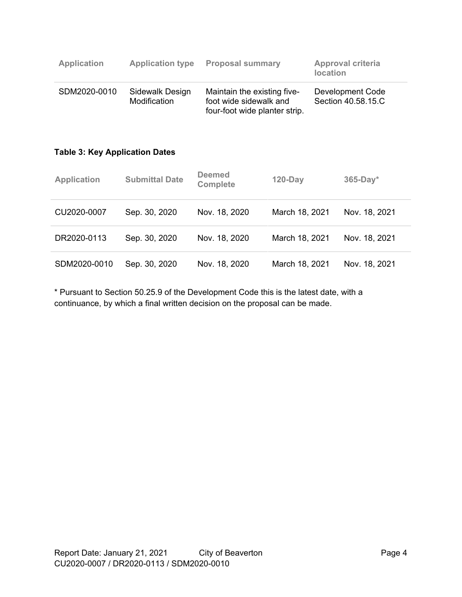| <b>Application</b> | <b>Application type</b>         | <b>Proposal summary</b>                                                                | <b>Approval criteria</b><br><b>location</b> |
|--------------------|---------------------------------|----------------------------------------------------------------------------------------|---------------------------------------------|
| SDM2020-0010       | Sidewalk Design<br>Modification | Maintain the existing five-<br>foot wide sidewalk and<br>four-foot wide planter strip. | Development Code<br>Section 40.58.15.C      |

#### **Table 3: Key Application Dates**

| <b>Application</b> | <b>Submittal Date</b> | <b>Deemed</b><br><b>Complete</b> | $120$ -Day     | $365-Day*$    |
|--------------------|-----------------------|----------------------------------|----------------|---------------|
| CU2020-0007        | Sep. 30, 2020         | Nov. 18, 2020                    | March 18, 2021 | Nov. 18, 2021 |
| DR2020-0113        | Sep. 30, 2020         | Nov. 18, 2020                    | March 18, 2021 | Nov. 18, 2021 |
| SDM2020-0010       | Sep. 30, 2020         | Nov. 18, 2020                    | March 18, 2021 | Nov. 18, 2021 |

\* Pursuant to Section 50.25.9 of the Development Code this is the latest date, with a continuance, by which a final written decision on the proposal can be made.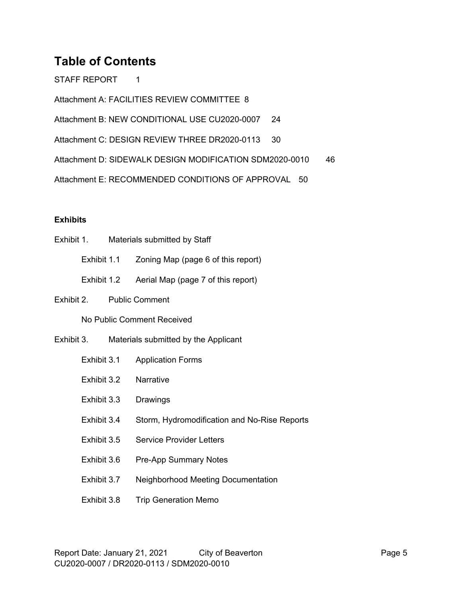## **Table of Contents**

[STAFF REPORT](#page-0-0) 1

[Attachment A: FACILITIES REVIEW COMMITTEE](#page-7-0) 8

Attachment B: [NEW CONDITIONAL USE](#page-23-0) CU2020-0007 24

[Attachment C: DESIGN REVIEW THREE DR2020-0113](#page-29-0) 30

[Attachment D: SIDEWALK DESIGN MODIFICATION SDM2020-0010](#page-45-0) 46

[Attachment E: RECOMMENDED CONDITIONS OF APPROVAL 50](#page-45-0)

#### **Exhibits**

- Exhibit 1. Materials submitted by Staff Exhibit 1.1 Zoning Map (page 6 of this report) Exhibit 1.2 Aerial Map (page 7 of this report) Exhibit 2. Public Comment No Public Comment Received Exhibit 3. Materials submitted by the Applicant Exhibit 3.1 Application Forms Exhibit 3.2 Narrative Exhibit 3.3 Drawings Exhibit 3.4 Storm, Hydromodification and No-Rise Reports Exhibit 3.5 Service Provider Letters Exhibit 3.6 Pre-App Summary Notes Exhibit 3.7 Neighborhood Meeting Documentation
	- Exhibit 3.8 Trip Generation Memo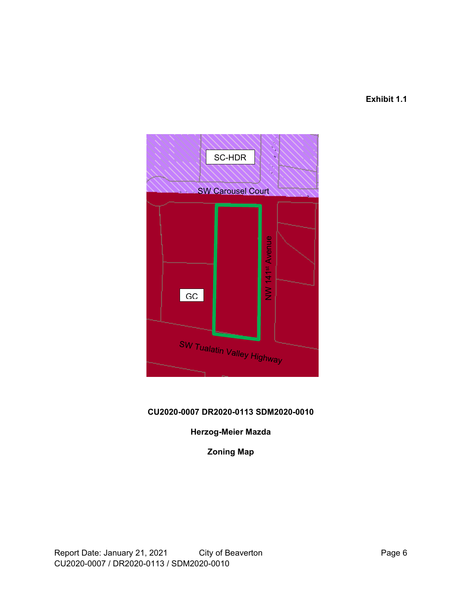#### **Exhibit 1.1**



### **CU2020-0007 DR2020-0113 SDM2020-0010**

#### **Herzog-Meier Mazda**

**Zoning Map**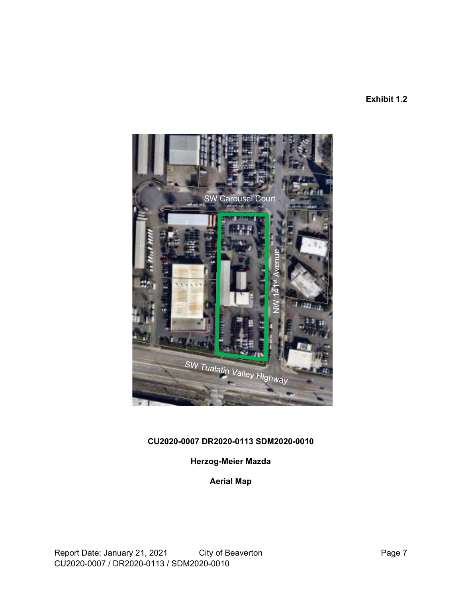**Exhibit 1.2**



### **CU2020-0007 DR2020-0113 SDM2020-0010**

### **Herzog-Meier Mazda**

**Aerial Map**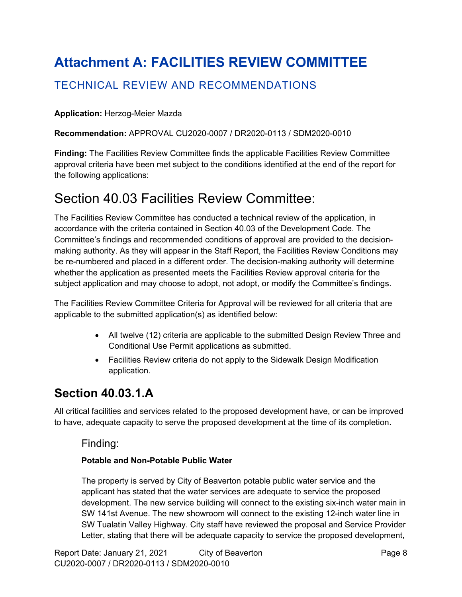# **Attachment A: FACILITIES REVIEW COMMITTEE**

### TECHNICAL REVIEW AND RECOMMENDATIONS

#### **Application:** Herzog-Meier Mazda

#### **Recommendation:** APPROVAL CU2020-0007 / DR2020-0113 / SDM2020-0010

**Finding:** The Facilities Review Committee finds the applicable Facilities Review Committee approval criteria have been met subject to the conditions identified at the end of the report for the following applications:

## <span id="page-7-0"></span>Section 40.03 Facilities Review Committee:

The Facilities Review Committee has conducted a technical review of the application, in accordance with the criteria contained in Section 40.03 of the Development Code. The Committee's findings and recommended conditions of approval are provided to the decisionmaking authority. As they will appear in the Staff Report, the Facilities Review Conditions may be re-numbered and placed in a different order. The decision-making authority will determine whether the application as presented meets the Facilities Review approval criteria for the subject application and may choose to adopt, not adopt, or modify the Committee's findings.

The Facilities Review Committee Criteria for Approval will be reviewed for all criteria that are applicable to the submitted application(s) as identified below:

- All twelve (12) criteria are applicable to the submitted Design Review Three and Conditional Use Permit applications as submitted.
- Facilities Review criteria do not apply to the Sidewalk Design Modification application.

### **Section 40.03.1.A**

All critical facilities and services related to the proposed development have, or can be improved to have, adequate capacity to serve the proposed development at the time of its completion.

#### Finding:

#### **Potable and Non-Potable Public Water**

The property is served by City of Beaverton potable public water service and the applicant has stated that the water services are adequate to service the proposed development. The new service building will connect to the existing six-inch water main in SW 141st Avenue. The new showroom will connect to the existing 12-inch water line in SW Tualatin Valley Highway. City staff have reviewed the proposal and Service Provider Letter, stating that there will be adequate capacity to service the proposed development,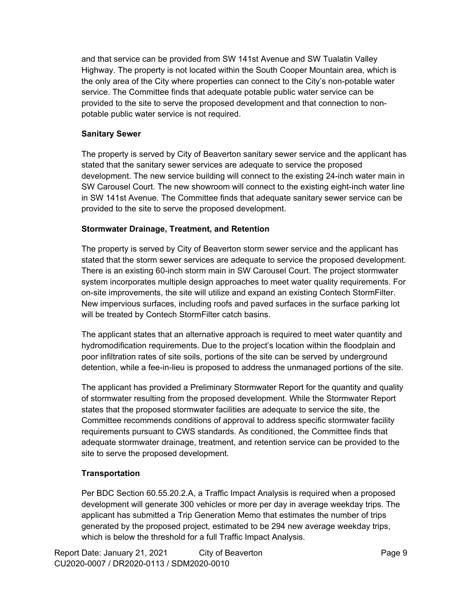and that service can be provided from SW 141st Avenue and SW Tualatin Valley Highway. The property is not located within the South Cooper Mountain area, which is the only area of the City where properties can connect to the City's non-potable water service. The Committee finds that adequate potable public water service can be provided to the site to serve the proposed development and that connection to nonpotable public water service is not required.

#### **Sanitary Sewer**

The property is served by City of Beaverton sanitary sewer service and the applicant has stated that the sanitary sewer services are adequate to service the proposed development. The new service building will connect to the existing 24-inch water main in SW Carousel Court. The new showroom will connect to the existing eight-inch water line in SW 141st Avenue. The Committee finds that adequate sanitary sewer service can be provided to the site to serve the proposed development.

#### **Stormwater Drainage, Treatment, and Retention**

The property is served by City of Beaverton storm sewer service and the applicant has stated that the storm sewer services are adequate to service the proposed development. There is an existing 60-inch storm main in SW Carousel Court. The project stormwater system incorporates multiple design approaches to meet water quality requirements. For on-site improvements, the site will utilize and expand an existing Contech StormFilter. New impervious surfaces, including roofs and paved surfaces in the surface parking lot will be treated by Contech StormFilter catch basins.

The applicant states that an alternative approach is required to meet water quantity and hydromodification requirements. Due to the project's location within the floodplain and poor infiltration rates of site soils, portions of the site can be served by underground detention, while a fee-in-lieu is proposed to address the unmanaged portions of the site.

The applicant has provided a Preliminary Stormwater Report for the quantity and quality of stormwater resulting from the proposed development. While the Stormwater Report states that the proposed stormwater facilities are adequate to service the site, the Committee recommends conditions of approval to address specific stormwater facility requirements pursuant to CWS standards. As conditioned, the Committee finds that adequate stormwater drainage, treatment, and retention service can be provided to the site to serve the proposed development.

### **Transportation**

Per BDC Section 60.55.20.2.A, a Traffic Impact Analysis is required when a proposed development will generate 300 vehicles or more per day in average weekday trips. The applicant has submitted a Trip Generation Memo that estimates the number of trips generated by the proposed project, estimated to be 294 new average weekday trips, which is below the threshold for a full Traffic Impact Analysis.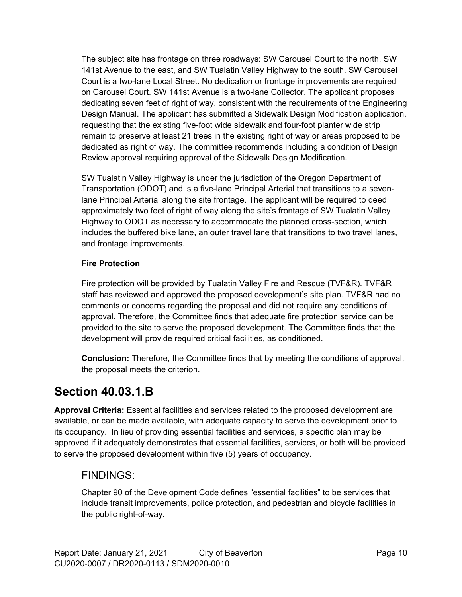The subject site has frontage on three roadways: SW Carousel Court to the north, SW 141st Avenue to the east, and SW Tualatin Valley Highway to the south. SW Carousel Court is a two-lane Local Street. No dedication or frontage improvements are required on Carousel Court. SW 141st Avenue is a two-lane Collector. The applicant proposes dedicating seven feet of right of way, consistent with the requirements of the Engineering Design Manual. The applicant has submitted a Sidewalk Design Modification application, requesting that the existing five-foot wide sidewalk and four-foot planter wide strip remain to preserve at least 21 trees in the existing right of way or areas proposed to be dedicated as right of way. The committee recommends including a condition of Design Review approval requiring approval of the Sidewalk Design Modification.

SW Tualatin Valley Highway is under the jurisdiction of the Oregon Department of Transportation (ODOT) and is a five-lane Principal Arterial that transitions to a sevenlane Principal Arterial along the site frontage. The applicant will be required to deed approximately two feet of right of way along the site's frontage of SW Tualatin Valley Highway to ODOT as necessary to accommodate the planned cross-section, which includes the buffered bike lane, an outer travel lane that transitions to two travel lanes, and frontage improvements.

#### **Fire Protection**

Fire protection will be provided by Tualatin Valley Fire and Rescue (TVF&R). TVF&R staff has reviewed and approved the proposed development's site plan. TVF&R had no comments or concerns regarding the proposal and did not require any conditions of approval. Therefore, the Committee finds that adequate fire protection service can be provided to the site to serve the proposed development. The Committee finds that the development will provide required critical facilities, as conditioned.

**Conclusion:** Therefore, the Committee finds that by meeting the conditions of approval, the proposal meets the criterion.

## **Section 40.03.1.B**

**Approval Criteria:** Essential facilities and services related to the proposed development are available, or can be made available, with adequate capacity to serve the development prior to its occupancy. In lieu of providing essential facilities and services, a specific plan may be approved if it adequately demonstrates that essential facilities, services, or both will be provided to serve the proposed development within five (5) years of occupancy.

### FINDINGS:

Chapter 90 of the Development Code defines "essential facilities" to be services that include transit improvements, police protection, and pedestrian and bicycle facilities in the public right-of-way.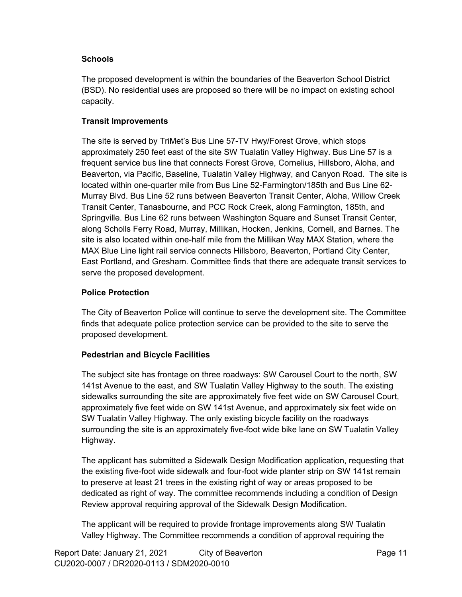#### **Schools**

The proposed development is within the boundaries of the Beaverton School District (BSD). No residential uses are proposed so there will be no impact on existing school capacity.

#### **Transit Improvements**

The site is served by TriMet's Bus Line 57-TV Hwy/Forest Grove, which stops approximately 250 feet east of the site SW Tualatin Valley Highway. Bus Line 57 is a frequent service bus line that connects Forest Grove, Cornelius, Hillsboro, Aloha, and Beaverton, via Pacific, Baseline, Tualatin Valley Highway, and Canyon Road. The site is located within one-quarter mile from Bus Line 52-Farmington/185th and Bus Line 62- Murray Blvd. Bus Line 52 runs between Beaverton Transit Center, Aloha, Willow Creek Transit Center, Tanasbourne, and PCC Rock Creek, along Farmington, 185th, and Springville. Bus Line 62 runs between Washington Square and Sunset Transit Center, along Scholls Ferry Road, Murray, Millikan, Hocken, Jenkins, Cornell, and Barnes. The site is also located within one-half mile from the Millikan Way MAX Station, where the MAX Blue Line light rail service connects Hillsboro, Beaverton, Portland City Center, East Portland, and Gresham. Committee finds that there are adequate transit services to serve the proposed development.

#### **Police Protection**

The City of Beaverton Police will continue to serve the development site. The Committee finds that adequate police protection service can be provided to the site to serve the proposed development.

#### **Pedestrian and Bicycle Facilities**

The subject site has frontage on three roadways: SW Carousel Court to the north, SW 141st Avenue to the east, and SW Tualatin Valley Highway to the south. The existing sidewalks surrounding the site are approximately five feet wide on SW Carousel Court, approximately five feet wide on SW 141st Avenue, and approximately six feet wide on SW Tualatin Valley Highway. The only existing bicycle facility on the roadways surrounding the site is an approximately five-foot wide bike lane on SW Tualatin Valley Highway.

The applicant has submitted a Sidewalk Design Modification application, requesting that the existing five-foot wide sidewalk and four-foot wide planter strip on SW 141st remain to preserve at least 21 trees in the existing right of way or areas proposed to be dedicated as right of way. The committee recommends including a condition of Design Review approval requiring approval of the Sidewalk Design Modification.

The applicant will be required to provide frontage improvements along SW Tualatin Valley Highway. The Committee recommends a condition of approval requiring the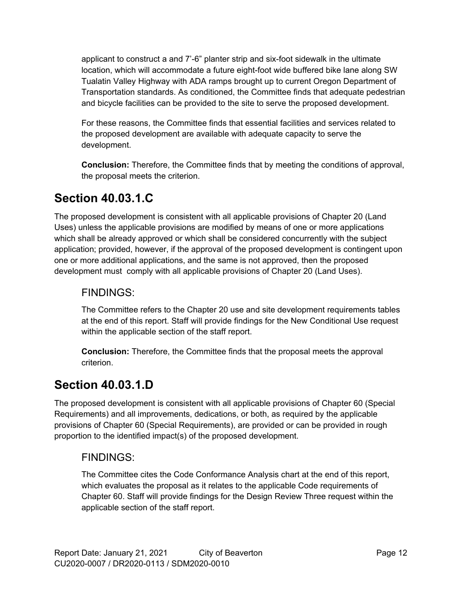applicant to construct a and 7'-6" planter strip and six-foot sidewalk in the ultimate location, which will accommodate a future eight-foot wide buffered bike lane along SW Tualatin Valley Highway with ADA ramps brought up to current Oregon Department of Transportation standards. As conditioned, the Committee finds that adequate pedestrian and bicycle facilities can be provided to the site to serve the proposed development.

For these reasons, the Committee finds that essential facilities and services related to the proposed development are available with adequate capacity to serve the development.

**Conclusion:** Therefore, the Committee finds that by meeting the conditions of approval, the proposal meets the criterion.

## **Section 40.03.1.C**

The proposed development is consistent with all applicable provisions of Chapter 20 (Land Uses) unless the applicable provisions are modified by means of one or more applications which shall be already approved or which shall be considered concurrently with the subject application; provided, however, if the approval of the proposed development is contingent upon one or more additional applications, and the same is not approved, then the proposed development must comply with all applicable provisions of Chapter 20 (Land Uses).

### FINDINGS:

The Committee refers to the Chapter 20 use and site development requirements tables at the end of this report. Staff will provide findings for the New Conditional Use request within the applicable section of the staff report.

**Conclusion:** Therefore, the Committee finds that the proposal meets the approval criterion.

## **Section 40.03.1.D**

The proposed development is consistent with all applicable provisions of Chapter 60 (Special Requirements) and all improvements, dedications, or both, as required by the applicable provisions of Chapter 60 (Special Requirements), are provided or can be provided in rough proportion to the identified impact(s) of the proposed development.

### FINDINGS:

The Committee cites the Code Conformance Analysis chart at the end of this report, which evaluates the proposal as it relates to the applicable Code requirements of Chapter 60. Staff will provide findings for the Design Review Three request within the applicable section of the staff report.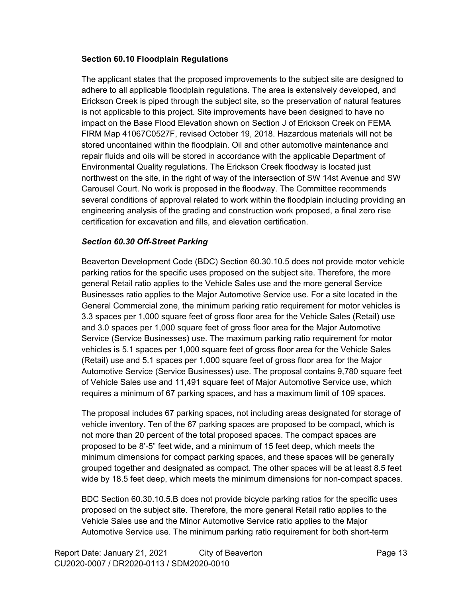#### **Section 60.10 Floodplain Regulations**

The applicant states that the proposed improvements to the subject site are designed to adhere to all applicable floodplain regulations. The area is extensively developed, and Erickson Creek is piped through the subject site, so the preservation of natural features is not applicable to this project. Site improvements have been designed to have no impact on the Base Flood Elevation shown on Section J of Erickson Creek on FEMA FIRM Map 41067C0527F, revised October 19, 2018. Hazardous materials will not be stored uncontained within the floodplain. Oil and other automotive maintenance and repair fluids and oils will be stored in accordance with the applicable Department of Environmental Quality regulations. The Erickson Creek floodway is located just northwest on the site, in the right of way of the intersection of SW 14st Avenue and SW Carousel Court. No work is proposed in the floodway. The Committee recommends several conditions of approval related to work within the floodplain including providing an engineering analysis of the grading and construction work proposed, a final zero rise certification for excavation and fills, and elevation certification.

#### *Section 60.30 Off-Street Parking*

Beaverton Development Code (BDC) Section 60.30.10.5 does not provide motor vehicle parking ratios for the specific uses proposed on the subject site. Therefore, the more general Retail ratio applies to the Vehicle Sales use and the more general Service Businesses ratio applies to the Major Automotive Service use. For a site located in the General Commercial zone, the minimum parking ratio requirement for motor vehicles is 3.3 spaces per 1,000 square feet of gross floor area for the Vehicle Sales (Retail) use and 3.0 spaces per 1,000 square feet of gross floor area for the Major Automotive Service (Service Businesses) use. The maximum parking ratio requirement for motor vehicles is 5.1 spaces per 1,000 square feet of gross floor area for the Vehicle Sales (Retail) use and 5.1 spaces per 1,000 square feet of gross floor area for the Major Automotive Service (Service Businesses) use. The proposal contains 9,780 square feet of Vehicle Sales use and 11,491 square feet of Major Automotive Service use, which requires a minimum of 67 parking spaces, and has a maximum limit of 109 spaces.

The proposal includes 67 parking spaces, not including areas designated for storage of vehicle inventory. Ten of the 67 parking spaces are proposed to be compact, which is not more than 20 percent of the total proposed spaces. The compact spaces are proposed to be 8'-5" feet wide, and a minimum of 15 feet deep, which meets the minimum dimensions for compact parking spaces, and these spaces will be generally grouped together and designated as compact. The other spaces will be at least 8.5 feet wide by 18.5 feet deep, which meets the minimum dimensions for non-compact spaces.

BDC Section 60.30.10.5.B does not provide bicycle parking ratios for the specific uses proposed on the subject site. Therefore, the more general Retail ratio applies to the Vehicle Sales use and the Minor Automotive Service ratio applies to the Major Automotive Service use. The minimum parking ratio requirement for both short-term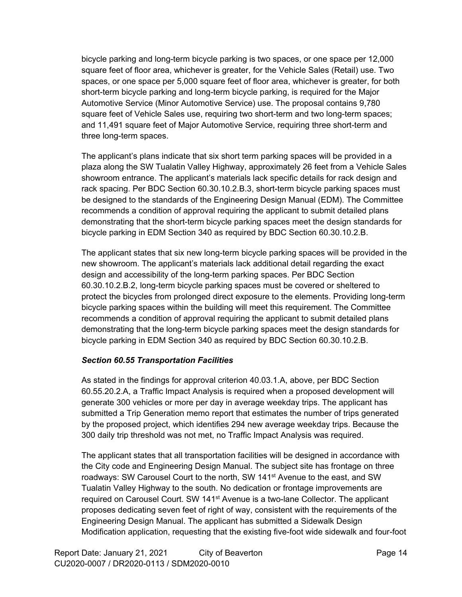bicycle parking and long-term bicycle parking is two spaces, or one space per 12,000 square feet of floor area, whichever is greater, for the Vehicle Sales (Retail) use. Two spaces, or one space per 5,000 square feet of floor area, whichever is greater, for both short-term bicycle parking and long-term bicycle parking, is required for the Major Automotive Service (Minor Automotive Service) use. The proposal contains 9,780 square feet of Vehicle Sales use, requiring two short-term and two long-term spaces; and 11,491 square feet of Major Automotive Service, requiring three short-term and three long-term spaces.

The applicant's plans indicate that six short term parking spaces will be provided in a plaza along the SW Tualatin Valley Highway, approximately 26 feet from a Vehicle Sales showroom entrance. The applicant's materials lack specific details for rack design and rack spacing. Per BDC Section 60.30.10.2.B.3, short-term bicycle parking spaces must be designed to the standards of the Engineering Design Manual (EDM). The Committee recommends a condition of approval requiring the applicant to submit detailed plans demonstrating that the short-term bicycle parking spaces meet the design standards for bicycle parking in EDM Section 340 as required by BDC Section 60.30.10.2.B.

The applicant states that six new long-term bicycle parking spaces will be provided in the new showroom. The applicant's materials lack additional detail regarding the exact design and accessibility of the long-term parking spaces. Per BDC Section 60.30.10.2.B.2, long-term bicycle parking spaces must be covered or sheltered to protect the bicycles from prolonged direct exposure to the elements. Providing long-term bicycle parking spaces within the building will meet this requirement. The Committee recommends a condition of approval requiring the applicant to submit detailed plans demonstrating that the long-term bicycle parking spaces meet the design standards for bicycle parking in EDM Section 340 as required by BDC Section 60.30.10.2.B.

#### *Section 60.55 Transportation Facilities*

As stated in the findings for approval criterion 40.03.1.A, above, per BDC Section 60.55.20.2.A, a Traffic Impact Analysis is required when a proposed development will generate 300 vehicles or more per day in average weekday trips. The applicant has submitted a Trip Generation memo report that estimates the number of trips generated by the proposed project, which identifies 294 new average weekday trips. Because the 300 daily trip threshold was not met, no Traffic Impact Analysis was required.

The applicant states that all transportation facilities will be designed in accordance with the City code and Engineering Design Manual. The subject site has frontage on three roadways: SW Carousel Court to the north, SW 141st Avenue to the east, and SW Tualatin Valley Highway to the south. No dedication or frontage improvements are required on Carousel Court. SW 141<sup>st</sup> Avenue is a two-lane Collector. The applicant proposes dedicating seven feet of right of way, consistent with the requirements of the Engineering Design Manual. The applicant has submitted a Sidewalk Design Modification application, requesting that the existing five-foot wide sidewalk and four-foot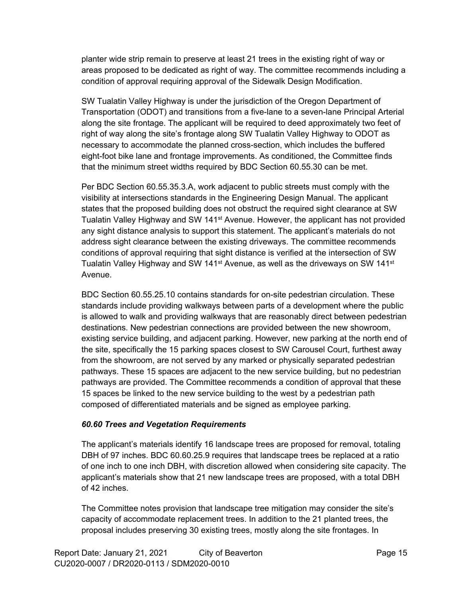planter wide strip remain to preserve at least 21 trees in the existing right of way or areas proposed to be dedicated as right of way. The committee recommends including a condition of approval requiring approval of the Sidewalk Design Modification.

SW Tualatin Valley Highway is under the jurisdiction of the Oregon Department of Transportation (ODOT) and transitions from a five-lane to a seven-lane Principal Arterial along the site frontage. The applicant will be required to deed approximately two feet of right of way along the site's frontage along SW Tualatin Valley Highway to ODOT as necessary to accommodate the planned cross-section, which includes the buffered eight-foot bike lane and frontage improvements. As conditioned, the Committee finds that the minimum street widths required by BDC Section 60.55.30 can be met.

Per BDC Section 60.55.35.3.A, work adjacent to public streets must comply with the visibility at intersections standards in the Engineering Design Manual. The applicant states that the proposed building does not obstruct the required sight clearance at SW Tualatin Valley Highway and SW 141<sup>st</sup> Avenue. However, the applicant has not provided any sight distance analysis to support this statement. The applicant's materials do not address sight clearance between the existing driveways. The committee recommends conditions of approval requiring that sight distance is verified at the intersection of SW Tualatin Valley Highway and SW 141<sup>st</sup> Avenue, as well as the driveways on SW 141<sup>st</sup> Avenue.

BDC Section 60.55.25.10 contains standards for on-site pedestrian circulation. These standards include providing walkways between parts of a development where the public is allowed to walk and providing walkways that are reasonably direct between pedestrian destinations. New pedestrian connections are provided between the new showroom, existing service building, and adjacent parking. However, new parking at the north end of the site, specifically the 15 parking spaces closest to SW Carousel Court, furthest away from the showroom, are not served by any marked or physically separated pedestrian pathways. These 15 spaces are adjacent to the new service building, but no pedestrian pathways are provided. The Committee recommends a condition of approval that these 15 spaces be linked to the new service building to the west by a pedestrian path composed of differentiated materials and be signed as employee parking.

#### *60.60 Trees and Vegetation Requirements*

The applicant's materials identify 16 landscape trees are proposed for removal, totaling DBH of 97 inches. BDC 60.60.25.9 requires that landscape trees be replaced at a ratio of one inch to one inch DBH, with discretion allowed when considering site capacity. The applicant's materials show that 21 new landscape trees are proposed, with a total DBH of 42 inches.

The Committee notes provision that landscape tree mitigation may consider the site's capacity of accommodate replacement trees. In addition to the 21 planted trees, the proposal includes preserving 30 existing trees, mostly along the site frontages. In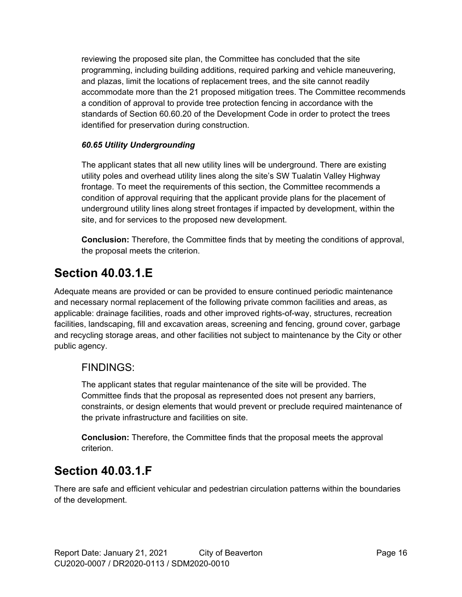reviewing the proposed site plan, the Committee has concluded that the site programming, including building additions, required parking and vehicle maneuvering, and plazas, limit the locations of replacement trees, and the site cannot readily accommodate more than the 21 proposed mitigation trees. The Committee recommends a condition of approval to provide tree protection fencing in accordance with the standards of Section 60.60.20 of the Development Code in order to protect the trees identified for preservation during construction.

#### *60.65 Utility Undergrounding*

The applicant states that all new utility lines will be underground. There are existing utility poles and overhead utility lines along the site's SW Tualatin Valley Highway frontage. To meet the requirements of this section, the Committee recommends a condition of approval requiring that the applicant provide plans for the placement of underground utility lines along street frontages if impacted by development, within the site, and for services to the proposed new development.

**Conclusion:** Therefore, the Committee finds that by meeting the conditions of approval, the proposal meets the criterion.

## **Section 40.03.1.E**

Adequate means are provided or can be provided to ensure continued periodic maintenance and necessary normal replacement of the following private common facilities and areas, as applicable: drainage facilities, roads and other improved rights-of-way, structures, recreation facilities, landscaping, fill and excavation areas, screening and fencing, ground cover, garbage and recycling storage areas, and other facilities not subject to maintenance by the City or other public agency.

### FINDINGS:

The applicant states that regular maintenance of the site will be provided. The Committee finds that the proposal as represented does not present any barriers, constraints, or design elements that would prevent or preclude required maintenance of the private infrastructure and facilities on site.

**Conclusion:** Therefore, the Committee finds that the proposal meets the approval criterion.

## **Section 40.03.1.F**

There are safe and efficient vehicular and pedestrian circulation patterns within the boundaries of the development.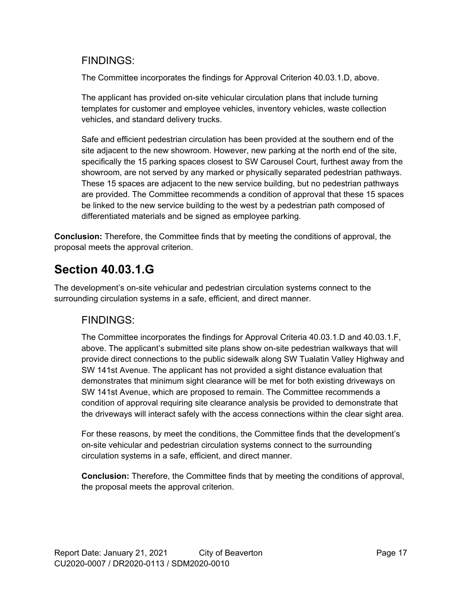### FINDINGS:

The Committee incorporates the findings for Approval Criterion 40.03.1.D, above.

The applicant has provided on-site vehicular circulation plans that include turning templates for customer and employee vehicles, inventory vehicles, waste collection vehicles, and standard delivery trucks.

Safe and efficient pedestrian circulation has been provided at the southern end of the site adjacent to the new showroom. However, new parking at the north end of the site, specifically the 15 parking spaces closest to SW Carousel Court, furthest away from the showroom, are not served by any marked or physically separated pedestrian pathways. These 15 spaces are adjacent to the new service building, but no pedestrian pathways are provided. The Committee recommends a condition of approval that these 15 spaces be linked to the new service building to the west by a pedestrian path composed of differentiated materials and be signed as employee parking.

**Conclusion:** Therefore, the Committee finds that by meeting the conditions of approval, the proposal meets the approval criterion.

## **Section 40.03.1.G**

The development's on-site vehicular and pedestrian circulation systems connect to the surrounding circulation systems in a safe, efficient, and direct manner.

### FINDINGS:

The Committee incorporates the findings for Approval Criteria 40.03.1.D and 40.03.1.F, above. The applicant's submitted site plans show on-site pedestrian walkways that will provide direct connections to the public sidewalk along SW Tualatin Valley Highway and SW 141st Avenue. The applicant has not provided a sight distance evaluation that demonstrates that minimum sight clearance will be met for both existing driveways on SW 141st Avenue, which are proposed to remain. The Committee recommends a condition of approval requiring site clearance analysis be provided to demonstrate that the driveways will interact safely with the access connections within the clear sight area.

For these reasons, by meet the conditions, the Committee finds that the development's on-site vehicular and pedestrian circulation systems connect to the surrounding circulation systems in a safe, efficient, and direct manner.

**Conclusion:** Therefore, the Committee finds that by meeting the conditions of approval, the proposal meets the approval criterion.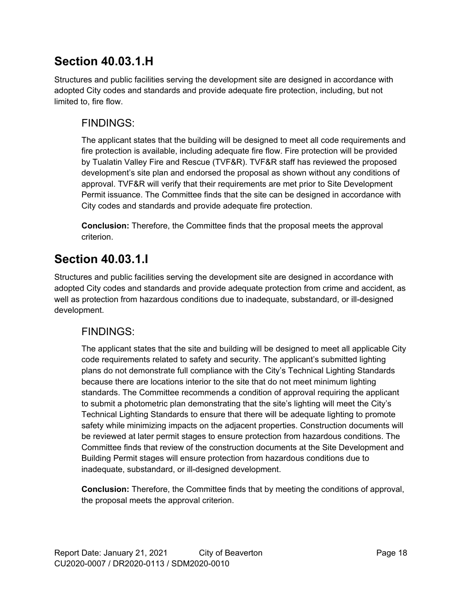## **Section 40.03.1.H**

Structures and public facilities serving the development site are designed in accordance with adopted City codes and standards and provide adequate fire protection, including, but not limited to, fire flow.

### FINDINGS:

The applicant states that the building will be designed to meet all code requirements and fire protection is available, including adequate fire flow. Fire protection will be provided by Tualatin Valley Fire and Rescue (TVF&R). TVF&R staff has reviewed the proposed development's site plan and endorsed the proposal as shown without any conditions of approval. TVF&R will verify that their requirements are met prior to Site Development Permit issuance. The Committee finds that the site can be designed in accordance with City codes and standards and provide adequate fire protection.

**Conclusion:** Therefore, the Committee finds that the proposal meets the approval criterion.

## **Section 40.03.1.I**

Structures and public facilities serving the development site are designed in accordance with adopted City codes and standards and provide adequate protection from crime and accident, as well as protection from hazardous conditions due to inadequate, substandard, or ill-designed development.

### FINDINGS:

The applicant states that the site and building will be designed to meet all applicable City code requirements related to safety and security. The applicant's submitted lighting plans do not demonstrate full compliance with the City's Technical Lighting Standards because there are locations interior to the site that do not meet minimum lighting standards. The Committee recommends a condition of approval requiring the applicant to submit a photometric plan demonstrating that the site's lighting will meet the City's Technical Lighting Standards to ensure that there will be adequate lighting to promote safety while minimizing impacts on the adjacent properties. Construction documents will be reviewed at later permit stages to ensure protection from hazardous conditions. The Committee finds that review of the construction documents at the Site Development and Building Permit stages will ensure protection from hazardous conditions due to inadequate, substandard, or ill-designed development.

**Conclusion:** Therefore, the Committee finds that by meeting the conditions of approval, the proposal meets the approval criterion.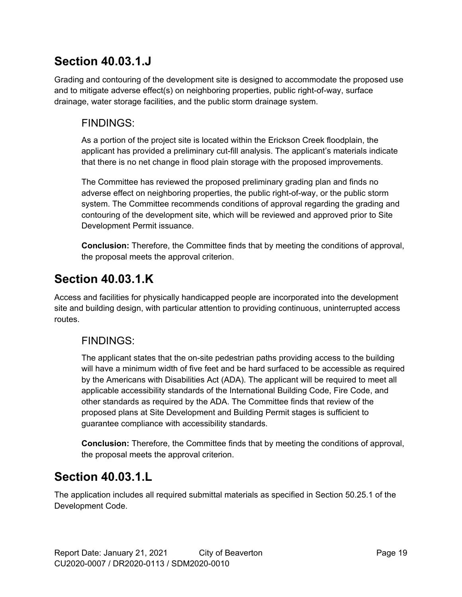## **Section 40.03.1.J**

Grading and contouring of the development site is designed to accommodate the proposed use and to mitigate adverse effect(s) on neighboring properties, public right-of-way, surface drainage, water storage facilities, and the public storm drainage system.

### FINDINGS:

As a portion of the project site is located within the Erickson Creek floodplain, the applicant has provided a preliminary cut-fill analysis. The applicant's materials indicate that there is no net change in flood plain storage with the proposed improvements.

The Committee has reviewed the proposed preliminary grading plan and finds no adverse effect on neighboring properties, the public right-of-way, or the public storm system. The Committee recommends conditions of approval regarding the grading and contouring of the development site, which will be reviewed and approved prior to Site Development Permit issuance.

**Conclusion:** Therefore, the Committee finds that by meeting the conditions of approval, the proposal meets the approval criterion.

## **Section 40.03.1.K**

Access and facilities for physically handicapped people are incorporated into the development site and building design, with particular attention to providing continuous, uninterrupted access routes.

### FINDINGS:

The applicant states that the on-site pedestrian paths providing access to the building will have a minimum width of five feet and be hard surfaced to be accessible as required by the Americans with Disabilities Act (ADA). The applicant will be required to meet all applicable accessibility standards of the International Building Code, Fire Code, and other standards as required by the ADA. The Committee finds that review of the proposed plans at Site Development and Building Permit stages is sufficient to guarantee compliance with accessibility standards.

**Conclusion:** Therefore, the Committee finds that by meeting the conditions of approval, the proposal meets the approval criterion.

## **Section 40.03.1.L**

The application includes all required submittal materials as specified in Section 50.25.1 of the Development Code.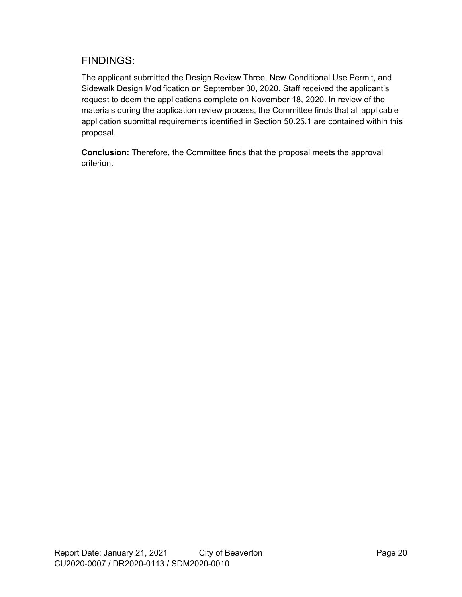### FINDINGS:

The applicant submitted the Design Review Three, New Conditional Use Permit, and Sidewalk Design Modification on September 30, 2020. Staff received the applicant's request to deem the applications complete on November 18, 2020. In review of the materials during the application review process, the Committee finds that all applicable application submittal requirements identified in Section 50.25.1 are contained within this proposal.

**Conclusion:** Therefore, the Committee finds that the proposal meets the approval criterion.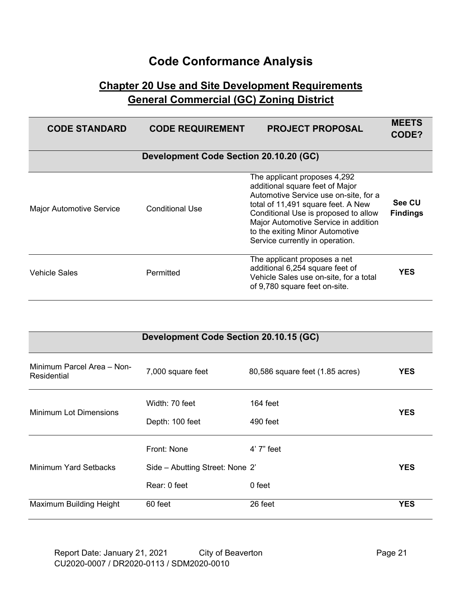# **Code Conformance Analysis**

### **Chapter 20 Use and Site Development Requirements General Commercial (GC) Zoning District**

| <b>CODE STANDARD</b>            | <b>CODE REQUIREMENT</b>                | <b>PROJECT PROPOSAL</b>                                                                                                                                                                                                                                                                              | <b>MEETS</b><br>CODE?     |
|---------------------------------|----------------------------------------|------------------------------------------------------------------------------------------------------------------------------------------------------------------------------------------------------------------------------------------------------------------------------------------------------|---------------------------|
|                                 | Development Code Section 20.10.20 (GC) |                                                                                                                                                                                                                                                                                                      |                           |
| <b>Major Automotive Service</b> | <b>Conditional Use</b>                 | The applicant proposes 4,292<br>additional square feet of Major<br>Automotive Service use on-site, for a<br>total of 11,491 square feet. A New<br>Conditional Use is proposed to allow<br>Major Automotive Service in addition<br>to the exiting Minor Automotive<br>Service currently in operation. | See CU<br><b>Findings</b> |
| <b>Vehicle Sales</b>            | Permitted                              | The applicant proposes a net<br>additional 6,254 square feet of<br>Vehicle Sales use on-site, for a total<br>of 9,780 square feet on-site.                                                                                                                                                           | <b>YES</b>                |

|                                           | Development Code Section 20.10.15 (GC)                         |                                 |            |
|-------------------------------------------|----------------------------------------------------------------|---------------------------------|------------|
| Minimum Parcel Area - Non-<br>Residential | 7,000 square feet                                              | 80,586 square feet (1.85 acres) | <b>YES</b> |
| <b>Minimum Lot Dimensions</b>             | Width: 70 feet<br>Depth: 100 feet                              | $164$ feet<br>490 feet          | <b>YES</b> |
| Minimum Yard Setbacks                     | Front: None<br>Side - Abutting Street: None 2'<br>Rear: 0 feet | 4' 7" feet<br>0 feet            | <b>YES</b> |
| Maximum Building Height                   | 60 feet                                                        | 26 feet                         | <b>YES</b> |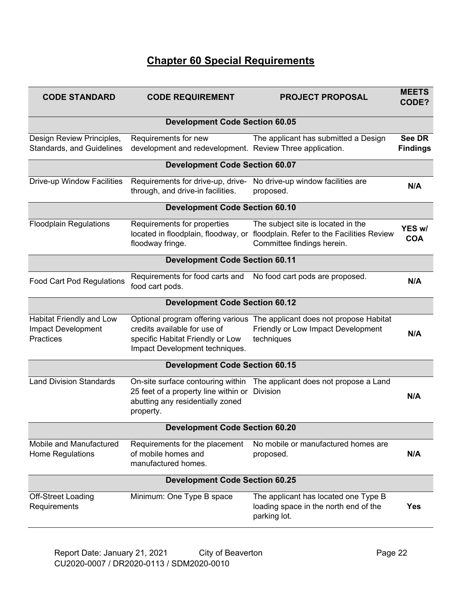## **Chapter 60 Special Requirements**

| <b>CODE STANDARD</b>                                                      | <b>CODE REQUIREMENT</b>                                                                                                    | <b>PROJECT PROPOSAL</b>                                                                                                                            | <b>MEETS</b><br>CODE?            |
|---------------------------------------------------------------------------|----------------------------------------------------------------------------------------------------------------------------|----------------------------------------------------------------------------------------------------------------------------------------------------|----------------------------------|
|                                                                           | <b>Development Code Section 60.05</b>                                                                                      |                                                                                                                                                    |                                  |
| Design Review Principles,<br><b>Standards, and Guidelines</b>             | Requirements for new<br>development and redevelopment. Review Three application.                                           | The applicant has submitted a Design                                                                                                               | <b>See DR</b><br><b>Findings</b> |
|                                                                           | <b>Development Code Section 60.07</b>                                                                                      |                                                                                                                                                    |                                  |
| Drive-up Window Facilities                                                | Requirements for drive-up, drive-<br>through, and drive-in facilities.                                                     | No drive-up window facilities are<br>proposed.                                                                                                     | N/A                              |
|                                                                           | <b>Development Code Section 60.10</b>                                                                                      |                                                                                                                                                    |                                  |
| <b>Floodplain Regulations</b>                                             | Requirements for properties<br>floodway fringe.                                                                            | The subject site is located in the<br>located in floodplain, floodway, or floodplain. Refer to the Facilities Review<br>Committee findings herein. | YES w/<br><b>COA</b>             |
|                                                                           | <b>Development Code Section 60.11</b>                                                                                      |                                                                                                                                                    |                                  |
| <b>Food Cart Pod Regulations</b>                                          | Requirements for food carts and<br>food cart pods.                                                                         | No food cart pods are proposed.                                                                                                                    | N/A                              |
|                                                                           | <b>Development Code Section 60.12</b>                                                                                      |                                                                                                                                                    |                                  |
| Habitat Friendly and Low<br><b>Impact Development</b><br><b>Practices</b> | credits available for use of<br>specific Habitat Friendly or Low<br>Impact Development techniques.                         | Optional program offering various The applicant does not propose Habitat<br>Friendly or Low Impact Development<br>techniques                       | N/A                              |
|                                                                           | <b>Development Code Section 60.15</b>                                                                                      |                                                                                                                                                    |                                  |
| <b>Land Division Standards</b>                                            | On-site surface contouring within<br>25 feet of a property line within or<br>abutting any residentially zoned<br>property. | The applicant does not propose a Land<br><b>Division</b>                                                                                           | N/A                              |
|                                                                           | <b>Development Code Section 60.20</b>                                                                                      |                                                                                                                                                    |                                  |
| Mobile and Manufactured<br>Home Regulations                               | Requirements for the placement<br>of mobile homes and<br>manufactured homes.                                               | No mobile or manufactured homes are<br>proposed.                                                                                                   | N/A                              |
|                                                                           | <b>Development Code Section 60.25</b>                                                                                      |                                                                                                                                                    |                                  |
| <b>Off-Street Loading</b><br>Requirements                                 | Minimum: One Type B space                                                                                                  | The applicant has located one Type B<br>loading space in the north end of the<br>parking lot.                                                      | <b>Yes</b>                       |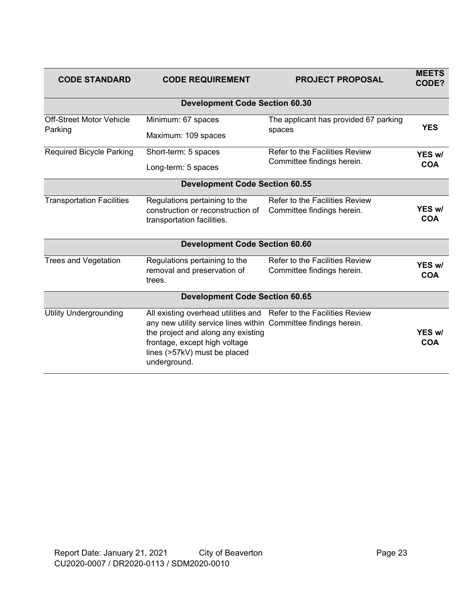| <b>CODE STANDARD</b>                  | <b>CODE REQUIREMENT</b>                                             | <b>PROJECT PROPOSAL</b>               | <b>MEETS</b><br>CODE? |
|---------------------------------------|---------------------------------------------------------------------|---------------------------------------|-----------------------|
|                                       | <b>Development Code Section 60.30</b>                               |                                       |                       |
| <b>Off-Street Motor Vehicle</b>       | Minimum: 67 spaces                                                  | The applicant has provided 67 parking | <b>YES</b>            |
| Parking                               | Maximum: 109 spaces                                                 | spaces                                |                       |
| <b>Required Bicycle Parking</b>       | Short-term: 5 spaces                                                | Refer to the Facilities Review        | YES w/                |
|                                       | Long-term: 5 spaces                                                 | Committee findings herein.            | <b>COA</b>            |
|                                       | <b>Development Code Section 60.55</b>                               |                                       |                       |
| <b>Transportation Facilities</b>      | Regulations pertaining to the                                       | Refer to the Facilities Review        |                       |
|                                       | construction or reconstruction of                                   | Committee findings herein.            | YES w/<br><b>COA</b>  |
|                                       | transportation facilities.                                          |                                       |                       |
|                                       | <b>Development Code Section 60.60</b>                               |                                       |                       |
| <b>Trees and Vegetation</b>           | Regulations pertaining to the                                       | <b>Refer to the Facilities Review</b> | YES w/                |
|                                       | removal and preservation of<br>trees.                               | Committee findings herein.            | <b>COA</b>            |
| <b>Development Code Section 60.65</b> |                                                                     |                                       |                       |
| <b>Utility Undergrounding</b>         | All existing overhead utilities and Refer to the Facilities Review  |                                       |                       |
|                                       | any new utility service lines within Committee findings herein.     |                                       |                       |
|                                       | the project and along any existing<br>frontage, except high voltage |                                       | YES w/<br><b>COA</b>  |
|                                       | lines (>57kV) must be placed                                        |                                       |                       |
|                                       | underground.                                                        |                                       |                       |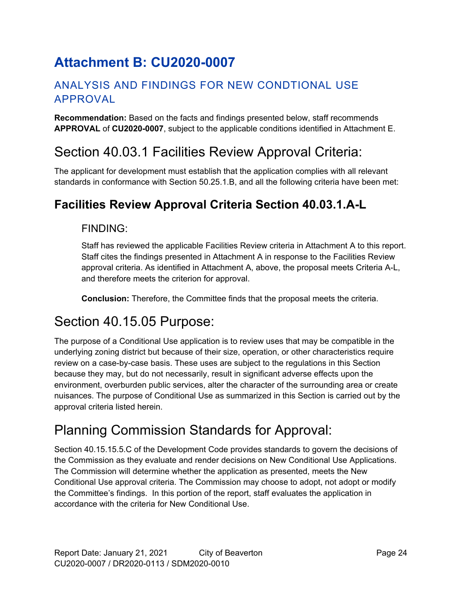# **Attachment B: CU2020-0007**

### ANALYSIS AND FINDINGS FOR NEW CONDTIONAL USE APPROVAL

**Recommendation:** Based on the facts and findings presented below, staff recommends **APPROVAL** of **CU2020-0007**, subject to the applicable conditions identified in Attachment E.

## <span id="page-23-0"></span>Section 40.03.1 Facilities Review Approval Criteria:

The applicant for development must establish that the application complies with all relevant standards in conformance with Section 50.25.1.B, and all the following criteria have been met:

## **Facilities Review Approval Criteria Section 40.03.1.A-L**

### FINDING:

Staff has reviewed the applicable Facilities Review criteria in Attachment A to this report. Staff cites the findings presented in Attachment A in response to the Facilities Review approval criteria. As identified in Attachment A, above, the proposal meets Criteria A-L, and therefore meets the criterion for approval.

**Conclusion:** Therefore, the Committee finds that the proposal meets the criteria.

## Section 40.15.05 Purpose:

The purpose of a Conditional Use application is to review uses that may be compatible in the underlying zoning district but because of their size, operation, or other characteristics require review on a case-by-case basis. These uses are subject to the regulations in this Section because they may, but do not necessarily, result in significant adverse effects upon the environment, overburden public services, alter the character of the surrounding area or create nuisances. The purpose of Conditional Use as summarized in this Section is carried out by the approval criteria listed herein.

# Planning Commission Standards for Approval:

Section 40.15.15.5.C of the Development Code provides standards to govern the decisions of the Commission as they evaluate and render decisions on New Conditional Use Applications. The Commission will determine whether the application as presented, meets the New Conditional Use approval criteria. The Commission may choose to adopt, not adopt or modify the Committee's findings. In this portion of the report, staff evaluates the application in accordance with the criteria for New Conditional Use.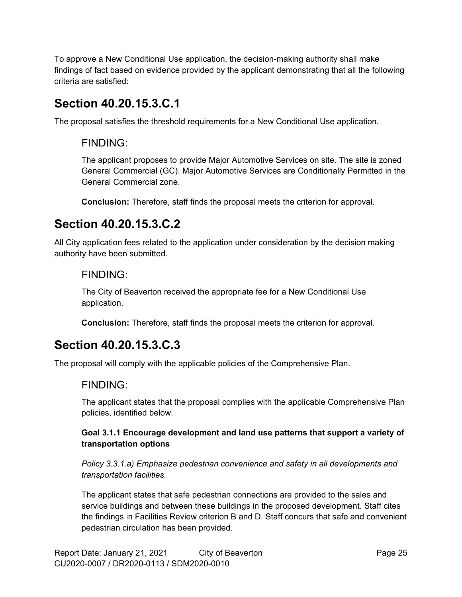To approve a New Conditional Use application, the decision-making authority shall make findings of fact based on evidence provided by the applicant demonstrating that all the following criteria are satisfied:

## **Section 40.20.15.3.C.1**

The proposal satisfies the threshold requirements for a New Conditional Use application.

### FINDING:

The applicant proposes to provide Major Automotive Services on site. The site is zoned General Commercial (GC). Major Automotive Services are Conditionally Permitted in the General Commercial zone.

**Conclusion:** Therefore, staff finds the proposal meets the criterion for approval.

## **Section 40.20.15.3.C.2**

All City application fees related to the application under consideration by the decision making authority have been submitted.

### FINDING:

The City of Beaverton received the appropriate fee for a New Conditional Use application.

**Conclusion:** Therefore, staff finds the proposal meets the criterion for approval.

## **Section 40.20.15.3.C.3**

The proposal will comply with the applicable policies of the Comprehensive Plan.

### FINDING:

The applicant states that the proposal complies with the applicable Comprehensive Plan policies, identified below.

#### **Goal 3.1.1 Encourage development and land use patterns that support a variety of transportation options**

*Policy 3.3.1.a) Emphasize pedestrian convenience and safety in all developments and transportation facilities.*

The applicant states that safe pedestrian connections are provided to the sales and service buildings and between these buildings in the proposed development. Staff cites the findings in Facilities Review criterion B and D. Staff concurs that safe and convenient pedestrian circulation has been provided.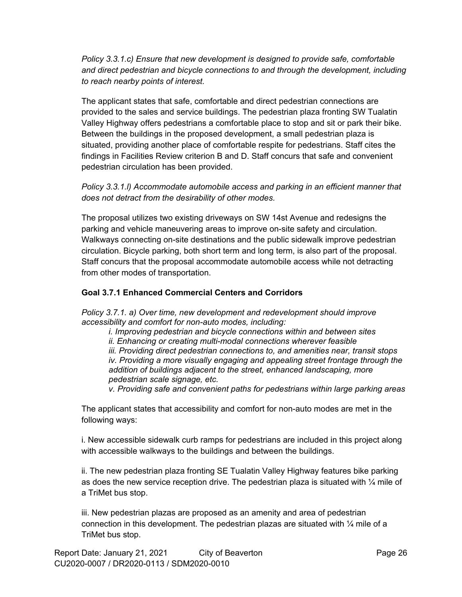*Policy 3.3.1.c) Ensure that new development is designed to provide safe, comfortable and direct pedestrian and bicycle connections to and through the development, including to reach nearby points of interest.*

The applicant states that safe, comfortable and direct pedestrian connections are provided to the sales and service buildings. The pedestrian plaza fronting SW Tualatin Valley Highway offers pedestrians a comfortable place to stop and sit or park their bike. Between the buildings in the proposed development, a small pedestrian plaza is situated, providing another place of comfortable respite for pedestrians. Staff cites the findings in Facilities Review criterion B and D. Staff concurs that safe and convenient pedestrian circulation has been provided.

*Policy 3.3.1.l) Accommodate automobile access and parking in an efficient manner that does not detract from the desirability of other modes.*

The proposal utilizes two existing driveways on SW 14st Avenue and redesigns the parking and vehicle maneuvering areas to improve on-site safety and circulation. Walkways connecting on-site destinations and the public sidewalk improve pedestrian circulation. Bicycle parking, both short term and long term, is also part of the proposal. Staff concurs that the proposal accommodate automobile access while not detracting from other modes of transportation.

#### **Goal 3.7.1 Enhanced Commercial Centers and Corridors**

*Policy 3.7.1. a) Over time, new development and redevelopment should improve accessibility and comfort for non-auto modes, including:*

*i. Improving pedestrian and bicycle connections within and between sites*

*ii. Enhancing or creating multi-modal connections wherever feasible*

*iii. Providing direct pedestrian connections to, and amenities near, transit stops iv. Providing a more visually engaging and appealing street frontage through the addition of buildings adjacent to the street, enhanced landscaping, more pedestrian scale signage, etc.*

*v. Providing safe and convenient paths for pedestrians within large parking areas*

The applicant states that accessibility and comfort for non-auto modes are met in the following ways:

i. New accessible sidewalk curb ramps for pedestrians are included in this project along with accessible walkways to the buildings and between the buildings.

ii. The new pedestrian plaza fronting SE Tualatin Valley Highway features bike parking as does the new service reception drive. The pedestrian plaza is situated with  $\mathcal{V}_4$  mile of a TriMet bus stop.

iii. New pedestrian plazas are proposed as an amenity and area of pedestrian connection in this development. The pedestrian plazas are situated with  $\frac{1}{4}$  mile of a TriMet bus stop.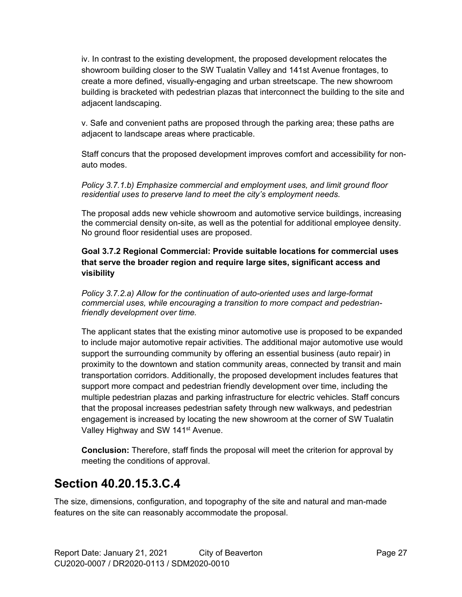iv. In contrast to the existing development, the proposed development relocates the showroom building closer to the SW Tualatin Valley and 141st Avenue frontages, to create a more defined, visually-engaging and urban streetscape. The new showroom building is bracketed with pedestrian plazas that interconnect the building to the site and adjacent landscaping.

v. Safe and convenient paths are proposed through the parking area; these paths are adjacent to landscape areas where practicable.

Staff concurs that the proposed development improves comfort and accessibility for nonauto modes.

*Policy 3.7.1.b) Emphasize commercial and employment uses, and limit ground floor residential uses to preserve land to meet the city's employment needs.*

The proposal adds new vehicle showroom and automotive service buildings, increasing the commercial density on-site, as well as the potential for additional employee density. No ground floor residential uses are proposed.

#### **Goal 3.7.2 Regional Commercial: Provide suitable locations for commercial uses that serve the broader region and require large sites, significant access and visibility**

*Policy 3.7.2.a) Allow for the continuation of auto-oriented uses and large-format commercial uses, while encouraging a transition to more compact and pedestrianfriendly development over time.*

The applicant states that the existing minor automotive use is proposed to be expanded to include major automotive repair activities. The additional major automotive use would support the surrounding community by offering an essential business (auto repair) in proximity to the downtown and station community areas, connected by transit and main transportation corridors. Additionally, the proposed development includes features that support more compact and pedestrian friendly development over time, including the multiple pedestrian plazas and parking infrastructure for electric vehicles. Staff concurs that the proposal increases pedestrian safety through new walkways, and pedestrian engagement is increased by locating the new showroom at the corner of SW Tualatin Valley Highway and SW 141<sup>st</sup> Avenue.

**Conclusion:** Therefore, staff finds the proposal will meet the criterion for approval by meeting the conditions of approval.

## **Section 40.20.15.3.C.4**

The size, dimensions, configuration, and topography of the site and natural and man-made features on the site can reasonably accommodate the proposal.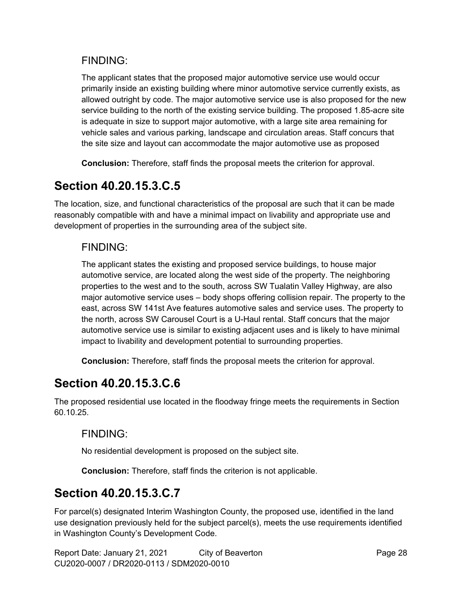### FINDING:

The applicant states that the proposed major automotive service use would occur primarily inside an existing building where minor automotive service currently exists, as allowed outright by code. The major automotive service use is also proposed for the new service building to the north of the existing service building. The proposed 1.85-acre site is adequate in size to support major automotive, with a large site area remaining for vehicle sales and various parking, landscape and circulation areas. Staff concurs that the site size and layout can accommodate the major automotive use as proposed

**Conclusion:** Therefore, staff finds the proposal meets the criterion for approval.

## **Section 40.20.15.3.C.5**

The location, size, and functional characteristics of the proposal are such that it can be made reasonably compatible with and have a minimal impact on livability and appropriate use and development of properties in the surrounding area of the subject site.

### FINDING:

The applicant states the existing and proposed service buildings, to house major automotive service, are located along the west side of the property. The neighboring properties to the west and to the south, across SW Tualatin Valley Highway, are also major automotive service uses – body shops offering collision repair. The property to the east, across SW 141st Ave features automotive sales and service uses. The property to the north, across SW Carousel Court is a U-Haul rental. Staff concurs that the major automotive service use is similar to existing adjacent uses and is likely to have minimal impact to livability and development potential to surrounding properties.

**Conclusion:** Therefore, staff finds the proposal meets the criterion for approval.

## **Section 40.20.15.3.C.6**

The proposed residential use located in the floodway fringe meets the requirements in Section 60.10.25.

### FINDING:

No residential development is proposed on the subject site.

**Conclusion:** Therefore, staff finds the criterion is not applicable.

### **Section 40.20.15.3.C.7**

For parcel(s) designated Interim Washington County, the proposed use, identified in the land use designation previously held for the subject parcel(s), meets the use requirements identified in Washington County's Development Code.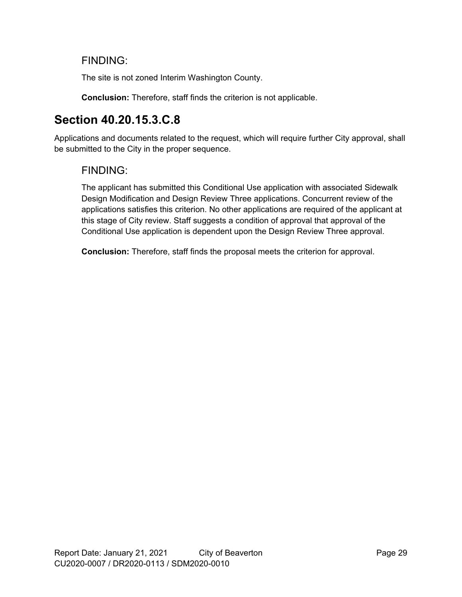### FINDING:

The site is not zoned Interim Washington County.

**Conclusion:** Therefore, staff finds the criterion is not applicable.

## **Section 40.20.15.3.C.8**

Applications and documents related to the request, which will require further City approval, shall be submitted to the City in the proper sequence.

### FINDING:

The applicant has submitted this Conditional Use application with associated Sidewalk Design Modification and Design Review Three applications. Concurrent review of the applications satisfies this criterion. No other applications are required of the applicant at this stage of City review. Staff suggests a condition of approval that approval of the Conditional Use application is dependent upon the Design Review Three approval.

**Conclusion:** Therefore, staff finds the proposal meets the criterion for approval.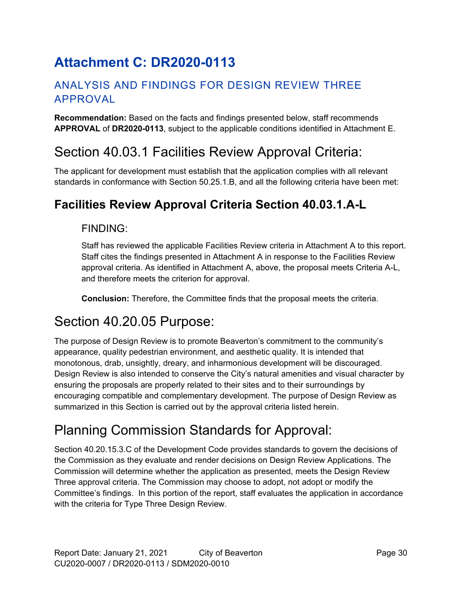# **Attachment C: DR2020-0113**

### ANALYSIS AND FINDINGS FOR DESIGN REVIEW THREE APPROVAL

**Recommendation:** Based on the facts and findings presented below, staff recommends **APPROVAL** of **DR2020-0113**, subject to the applicable conditions identified in Attachment E.

## Section 40.03.1 Facilities Review Approval Criteria:

The applicant for development must establish that the application complies with all relevant standards in conformance with Section 50.25.1.B, and all the following criteria have been met:

## **Facilities Review Approval Criteria Section 40.03.1.A-L**

### FINDING:

Staff has reviewed the applicable Facilities Review criteria in Attachment A to this report. Staff cites the findings presented in Attachment A in response to the Facilities Review approval criteria. As identified in Attachment A, above, the proposal meets Criteria A-L, and therefore meets the criterion for approval.

**Conclusion:** Therefore, the Committee finds that the proposal meets the criteria.

## <span id="page-29-0"></span>Section 40.20.05 Purpose:

The purpose of Design Review is to promote Beaverton's commitment to the community's appearance, quality pedestrian environment, and aesthetic quality. It is intended that monotonous, drab, unsightly, dreary, and inharmonious development will be discouraged. Design Review is also intended to conserve the City's natural amenities and visual character by ensuring the proposals are properly related to their sites and to their surroundings by encouraging compatible and complementary development. The purpose of Design Review as summarized in this Section is carried out by the approval criteria listed herein.

# Planning Commission Standards for Approval:

Section 40.20.15.3.C of the Development Code provides standards to govern the decisions of the Commission as they evaluate and render decisions on Design Review Applications. The Commission will determine whether the application as presented, meets the Design Review Three approval criteria. The Commission may choose to adopt, not adopt or modify the Committee's findings. In this portion of the report, staff evaluates the application in accordance with the criteria for Type Three Design Review.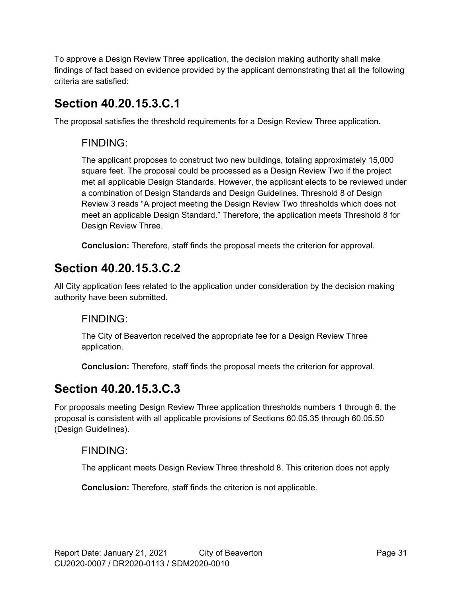To approve a Design Review Three application, the decision making authority shall make findings of fact based on evidence provided by the applicant demonstrating that all the following criteria are satisfied:

## **Section 40.20.15.3.C.1**

The proposal satisfies the threshold requirements for a Design Review Three application.

### FINDING:

The applicant proposes to construct two new buildings, totaling approximately 15,000 square feet. The proposal could be processed as a Design Review Two if the project met all applicable Design Standards. However, the applicant elects to be reviewed under a combination of Design Standards and Design Guidelines. Threshold 8 of Design Review 3 reads "A project meeting the Design Review Two thresholds which does not meet an applicable Design Standard." Therefore, the application meets Threshold 8 for Design Review Three.

**Conclusion:** Therefore, staff finds the proposal meets the criterion for approval.

## **Section 40.20.15.3.C.2**

All City application fees related to the application under consideration by the decision making authority have been submitted.

### FINDING:

The City of Beaverton received the appropriate fee for a Design Review Three application.

**Conclusion:** Therefore, staff finds the proposal meets the criterion for approval.

## **Section 40.20.15.3.C.3**

For proposals meeting Design Review Three application thresholds numbers 1 through 6, the proposal is consistent with all applicable provisions of Sections 60.05.35 through 60.05.50 (Design Guidelines).

### FINDING:

The applicant meets Design Review Three threshold 8. This criterion does not apply

**Conclusion:** Therefore, staff finds the criterion is not applicable.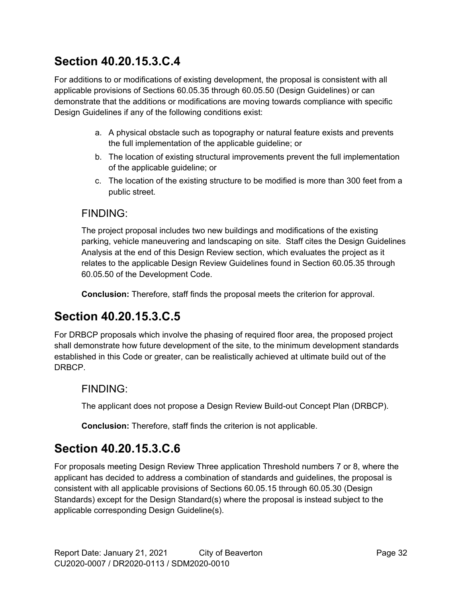## **Section 40.20.15.3.C.4**

For additions to or modifications of existing development, the proposal is consistent with all applicable provisions of Sections 60.05.35 through 60.05.50 (Design Guidelines) or can demonstrate that the additions or modifications are moving towards compliance with specific Design Guidelines if any of the following conditions exist:

- a. A physical obstacle such as topography or natural feature exists and prevents the full implementation of the applicable guideline; or
- b. The location of existing structural improvements prevent the full implementation of the applicable guideline; or
- c. The location of the existing structure to be modified is more than 300 feet from a public street.

### FINDING:

The project proposal includes two new buildings and modifications of the existing parking, vehicle maneuvering and landscaping on site. Staff cites the Design Guidelines Analysis at the end of this Design Review section, which evaluates the project as it relates to the applicable Design Review Guidelines found in Section 60.05.35 through 60.05.50 of the Development Code.

**Conclusion:** Therefore, staff finds the proposal meets the criterion for approval.

## **Section 40.20.15.3.C.5**

For DRBCP proposals which involve the phasing of required floor area, the proposed project shall demonstrate how future development of the site, to the minimum development standards established in this Code or greater, can be realistically achieved at ultimate build out of the DRBCP.

### FINDING:

The applicant does not propose a Design Review Build-out Concept Plan (DRBCP).

**Conclusion:** Therefore, staff finds the criterion is not applicable.

## **Section 40.20.15.3.C.6**

For proposals meeting Design Review Three application Threshold numbers 7 or 8, where the applicant has decided to address a combination of standards and guidelines, the proposal is consistent with all applicable provisions of Sections 60.05.15 through 60.05.30 (Design Standards) except for the Design Standard(s) where the proposal is instead subject to the applicable corresponding Design Guideline(s).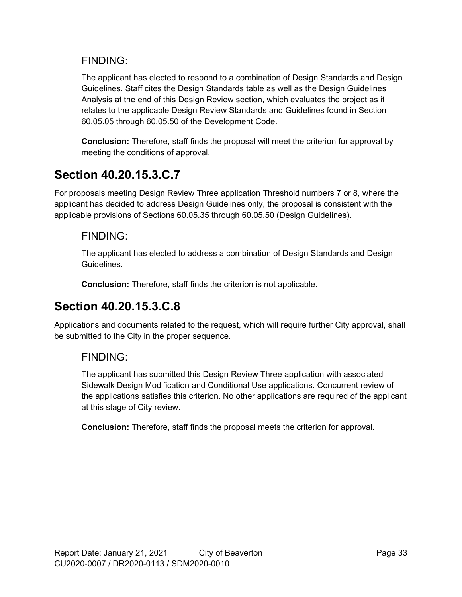### FINDING:

The applicant has elected to respond to a combination of Design Standards and Design Guidelines. Staff cites the Design Standards table as well as the Design Guidelines Analysis at the end of this Design Review section, which evaluates the project as it relates to the applicable Design Review Standards and Guidelines found in Section 60.05.05 through 60.05.50 of the Development Code.

**Conclusion:** Therefore, staff finds the proposal will meet the criterion for approval by meeting the conditions of approval.

## **Section 40.20.15.3.C.7**

For proposals meeting Design Review Three application Threshold numbers 7 or 8, where the applicant has decided to address Design Guidelines only, the proposal is consistent with the applicable provisions of Sections 60.05.35 through 60.05.50 (Design Guidelines).

### FINDING:

The applicant has elected to address a combination of Design Standards and Design Guidelines.

**Conclusion:** Therefore, staff finds the criterion is not applicable.

## **Section 40.20.15.3.C.8**

Applications and documents related to the request, which will require further City approval, shall be submitted to the City in the proper sequence.

### FINDING:

The applicant has submitted this Design Review Three application with associated Sidewalk Design Modification and Conditional Use applications. Concurrent review of the applications satisfies this criterion. No other applications are required of the applicant at this stage of City review.

**Conclusion:** Therefore, staff finds the proposal meets the criterion for approval.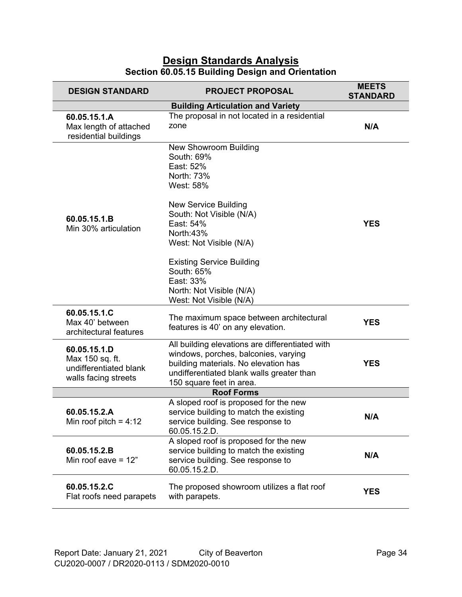#### **Design Standards Analysis Section 60.05.15 Building Design and Orientation**

| <b>DESIGN STANDARD</b>                                                            | <b>PROJECT PROPOSAL</b>                                                                                                                                                                                                                                                                                                  | <b>MEETS</b><br><b>STANDARD</b> |
|-----------------------------------------------------------------------------------|--------------------------------------------------------------------------------------------------------------------------------------------------------------------------------------------------------------------------------------------------------------------------------------------------------------------------|---------------------------------|
|                                                                                   | <b>Building Articulation and Variety</b>                                                                                                                                                                                                                                                                                 |                                 |
| 60.05.15.1.A<br>Max length of attached<br>residential buildings                   | The proposal in not located in a residential<br>zone                                                                                                                                                                                                                                                                     | N/A                             |
| 60.05.15.1.B<br>Min 30% articulation                                              | <b>New Showroom Building</b><br>South: 69%<br>East: 52%<br>North: 73%<br>West: 58%<br><b>New Service Building</b><br>South: Not Visible (N/A)<br>East: 54%<br>North:43%<br>West: Not Visible (N/A)<br><b>Existing Service Building</b><br>South: 65%<br>East: 33%<br>North: Not Visible (N/A)<br>West: Not Visible (N/A) | <b>YES</b>                      |
| 60.05.15.1.C<br>Max 40' between<br>architectural features                         | The maximum space between architectural<br>features is 40' on any elevation.                                                                                                                                                                                                                                             | <b>YES</b>                      |
| 60.05.15.1.D<br>Max 150 sq. ft.<br>undifferentiated blank<br>walls facing streets | All building elevations are differentiated with<br>windows, porches, balconies, varying<br>building materials. No elevation has<br>undifferentiated blank walls greater than<br>150 square feet in area.                                                                                                                 | <b>YES</b>                      |
|                                                                                   | <b>Roof Forms</b>                                                                                                                                                                                                                                                                                                        |                                 |
| 60.05.15.2.A<br>Min roof pitch = $4:12$                                           | A sloped roof is proposed for the new<br>service building to match the existing<br>service building. See response to<br>60.05.15.2.D.                                                                                                                                                                                    | N/A                             |
| 60.05.15.2.B<br>Min roof eave $= 12$ "                                            | A sloped roof is proposed for the new<br>service building to match the existing<br>service building. See response to<br>60.05.15.2.D.                                                                                                                                                                                    | N/A                             |
| 60.05.15.2.C<br>Flat roofs need parapets                                          | The proposed showroom utilizes a flat roof<br>with parapets.                                                                                                                                                                                                                                                             | <b>YES</b>                      |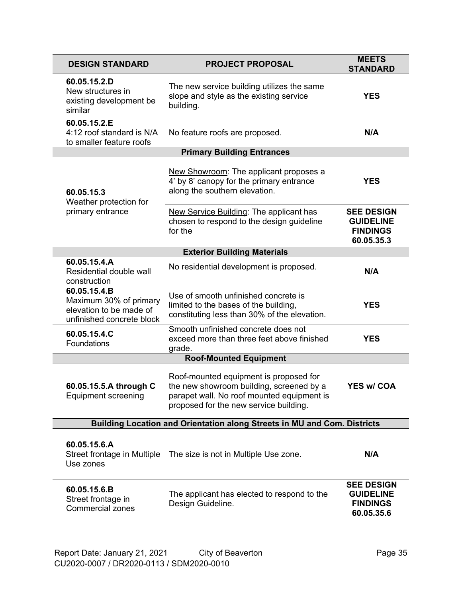| <b>DESIGN STANDARD</b>                                                                         | <b>PROJECT PROPOSAL</b>                                                                                                                                                    | <b>MEETS</b><br><b>STANDARD</b>                                        |  |
|------------------------------------------------------------------------------------------------|----------------------------------------------------------------------------------------------------------------------------------------------------------------------------|------------------------------------------------------------------------|--|
| 60.05.15.2.D<br>New structures in<br>existing development be<br>similar                        | The new service building utilizes the same<br>slope and style as the existing service<br>building.                                                                         | <b>YES</b>                                                             |  |
| 60.05.15.2.E<br>4:12 roof standard is N/A<br>to smaller feature roofs                          | No feature roofs are proposed.                                                                                                                                             | N/A                                                                    |  |
|                                                                                                | <b>Primary Building Entrances</b>                                                                                                                                          |                                                                        |  |
| 60.05.15.3<br>Weather protection for                                                           | New Showroom: The applicant proposes a<br>4' by 8' canopy for the primary entrance<br>along the southern elevation.                                                        | <b>YES</b>                                                             |  |
| primary entrance                                                                               | New Service Building: The applicant has<br>chosen to respond to the design guideline<br>for the                                                                            | <b>SEE DESIGN</b><br><b>GUIDELINE</b><br><b>FINDINGS</b><br>60.05.35.3 |  |
|                                                                                                | <b>Exterior Building Materials</b>                                                                                                                                         |                                                                        |  |
| 60.05.15.4.A<br>Residential double wall<br>construction                                        | No residential development is proposed.                                                                                                                                    | N/A                                                                    |  |
| 60.05.15.4.B<br>Maximum 30% of primary<br>elevation to be made of<br>unfinished concrete block | Use of smooth unfinished concrete is<br>limited to the bases of the building,<br>constituting less than 30% of the elevation.                                              | <b>YES</b>                                                             |  |
| 60.05.15.4.C<br>Foundations                                                                    | Smooth unfinished concrete does not<br>exceed more than three feet above finished<br>grade.                                                                                | <b>YES</b>                                                             |  |
|                                                                                                | <b>Roof-Mounted Equipment</b>                                                                                                                                              |                                                                        |  |
| 60.05.15.5.A through C<br><b>Equipment screening</b>                                           | Roof-mounted equipment is proposed for<br>the new showroom building, screened by a<br>parapet wall. No roof mounted equipment is<br>proposed for the new service building. | <b>YES w/ COA</b>                                                      |  |
| Building Location and Orientation along Streets in MU and Com. Districts                       |                                                                                                                                                                            |                                                                        |  |
| 60.05.15.6.A<br>Street frontage in Multiple<br>Use zones                                       | The size is not in Multiple Use zone.                                                                                                                                      | N/A                                                                    |  |
| 60.05.15.6.B<br>Street frontage in<br><b>Commercial zones</b>                                  | The applicant has elected to respond to the<br>Design Guideline.                                                                                                           | <b>SEE DESIGN</b><br><b>GUIDELINE</b><br><b>FINDINGS</b><br>60.05.35.6 |  |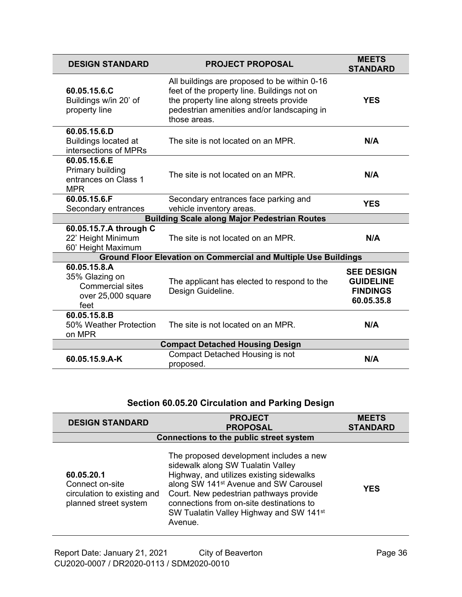| <b>DESIGN STANDARD</b>                                                                  | <b>PROJECT PROPOSAL</b>                                                                                                                                                                              | <b>MEETS</b><br><b>STANDARD</b>                                        |  |
|-----------------------------------------------------------------------------------------|------------------------------------------------------------------------------------------------------------------------------------------------------------------------------------------------------|------------------------------------------------------------------------|--|
| 60.05.15.6.C<br>Buildings w/in 20' of<br>property line                                  | All buildings are proposed to be within 0-16<br>feet of the property line. Buildings not on<br>the property line along streets provide<br>pedestrian amenities and/or landscaping in<br>those areas. | <b>YES</b>                                                             |  |
| 60.05.15.6.D<br><b>Buildings located at</b><br>intersections of MPRs                    | The site is not located on an MPR.                                                                                                                                                                   | N/A                                                                    |  |
| 60.05.15.6.E<br>Primary building<br>entrances on Class 1<br><b>MPR</b>                  | The site is not located on an MPR.                                                                                                                                                                   | N/A                                                                    |  |
| 60.05.15.6.F                                                                            | Secondary entrances face parking and                                                                                                                                                                 | <b>YES</b>                                                             |  |
| Secondary entrances                                                                     | vehicle inventory areas.                                                                                                                                                                             |                                                                        |  |
|                                                                                         | <b>Building Scale along Major Pedestrian Routes</b>                                                                                                                                                  |                                                                        |  |
| 60.05.15.7.A through C<br>22' Height Minimum<br>60' Height Maximum                      | The site is not located on an MPR.                                                                                                                                                                   | N/A                                                                    |  |
|                                                                                         | <b>Ground Floor Elevation on Commercial and Multiple Use Buildings</b>                                                                                                                               |                                                                        |  |
| 60.05.15.8.A<br>35% Glazing on<br><b>Commercial sites</b><br>over 25,000 square<br>feet | The applicant has elected to respond to the<br>Design Guideline.                                                                                                                                     | <b>SEE DESIGN</b><br><b>GUIDELINE</b><br><b>FINDINGS</b><br>60.05.35.8 |  |
| 60.05.15.8.B<br>50% Weather Protection<br>on MPR                                        | The site is not located on an MPR.                                                                                                                                                                   | N/A                                                                    |  |
| <b>Compact Detached Housing Design</b>                                                  |                                                                                                                                                                                                      |                                                                        |  |
| 60.05.15.9.A-K                                                                          | <b>Compact Detached Housing is not</b><br>proposed.                                                                                                                                                  | N/A                                                                    |  |

## **Section 60.05.20 Circulation and Parking Design**

| <b>DESIGN STANDARD</b>                                                                | <b>PROJECT</b><br><b>PROPOSAL</b>                                                                                                                                                                                                                                                                                                     | <b>MEETS</b><br><b>STANDARD</b> |
|---------------------------------------------------------------------------------------|---------------------------------------------------------------------------------------------------------------------------------------------------------------------------------------------------------------------------------------------------------------------------------------------------------------------------------------|---------------------------------|
| <b>Connections to the public street system</b>                                        |                                                                                                                                                                                                                                                                                                                                       |                                 |
| 60.05.20.1<br>Connect on-site<br>circulation to existing and<br>planned street system | The proposed development includes a new<br>sidewalk along SW Tualatin Valley<br>Highway, and utilizes existing sidewalks<br>along SW 141 <sup>st</sup> Avenue and SW Carousel<br>Court. New pedestrian pathways provide<br>connections from on-site destinations to<br>SW Tualatin Valley Highway and SW 141 <sup>st</sup><br>Avenue. | <b>YES</b>                      |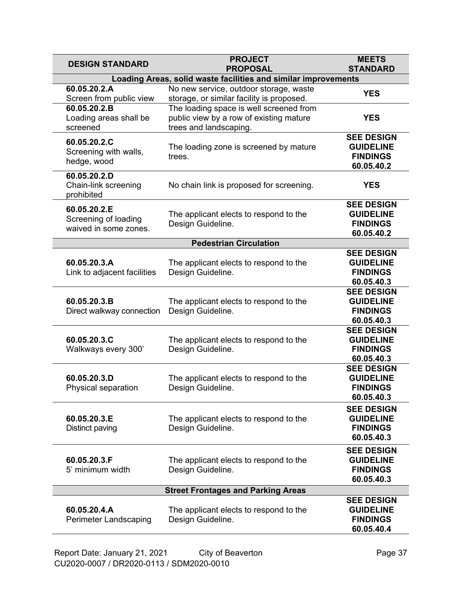| <b>DESIGN STANDARD</b>                                        | <b>PROJECT</b><br><b>PROPOSAL</b>                                                                            | <b>MEETS</b><br><b>STANDARD</b>                                        |
|---------------------------------------------------------------|--------------------------------------------------------------------------------------------------------------|------------------------------------------------------------------------|
|                                                               | Loading Areas, solid waste facilities and similar improvements                                               |                                                                        |
| 60.05.20.2.A<br>Screen from public view                       | No new service, outdoor storage, waste<br>storage, or similar facility is proposed.                          | <b>YES</b>                                                             |
| 60.05.20.2.B<br>Loading areas shall be<br>screened            | The loading space is well screened from<br>public view by a row of existing mature<br>trees and landscaping. | <b>YES</b>                                                             |
| 60.05.20.2.C<br>Screening with walls,<br>hedge, wood          | The loading zone is screened by mature<br>trees.                                                             | <b>SEE DESIGN</b><br><b>GUIDELINE</b><br><b>FINDINGS</b><br>60.05.40.2 |
| 60.05.20.2.D<br>Chain-link screening<br>prohibited            | No chain link is proposed for screening.                                                                     | <b>YES</b>                                                             |
| 60.05.20.2.E<br>Screening of loading<br>waived in some zones. | The applicant elects to respond to the<br>Design Guideline.                                                  | <b>SEE DESIGN</b><br><b>GUIDELINE</b><br><b>FINDINGS</b><br>60.05.40.2 |
|                                                               | <b>Pedestrian Circulation</b>                                                                                |                                                                        |
| 60.05.20.3.A<br>Link to adjacent facilities                   | The applicant elects to respond to the<br>Design Guideline.                                                  | <b>SEE DESIGN</b><br><b>GUIDELINE</b><br><b>FINDINGS</b><br>60.05.40.3 |
| 60.05.20.3.B<br>Direct walkway connection                     | The applicant elects to respond to the<br>Design Guideline.                                                  | <b>SEE DESIGN</b><br><b>GUIDELINE</b><br><b>FINDINGS</b><br>60.05.40.3 |
| 60.05.20.3.C<br>Walkways every 300'                           | The applicant elects to respond to the<br>Design Guideline.                                                  | <b>SEE DESIGN</b><br><b>GUIDELINE</b><br><b>FINDINGS</b><br>60.05.40.3 |
| 60.05.20.3.D<br>Physical separation                           | The applicant elects to respond to the<br>Design Guideline.                                                  | <b>SEE DESIGN</b><br><b>GUIDELINE</b><br><b>FINDINGS</b><br>60.05.40.3 |
| 60.05.20.3.E<br>Distinct paving                               | The applicant elects to respond to the<br>Design Guideline.                                                  | <b>SEE DESIGN</b><br><b>GUIDELINE</b><br><b>FINDINGS</b><br>60.05.40.3 |
| 60.05.20.3.F<br>5' minimum width                              | The applicant elects to respond to the<br>Design Guideline.                                                  | <b>SEE DESIGN</b><br><b>GUIDELINE</b><br><b>FINDINGS</b><br>60.05.40.3 |
| <b>Street Frontages and Parking Areas</b>                     |                                                                                                              |                                                                        |
| 60.05.20.4.A<br><b>Perimeter Landscaping</b>                  | The applicant elects to respond to the<br>Design Guideline.                                                  | <b>SEE DESIGN</b><br><b>GUIDELINE</b><br><b>FINDINGS</b><br>60.05.40.4 |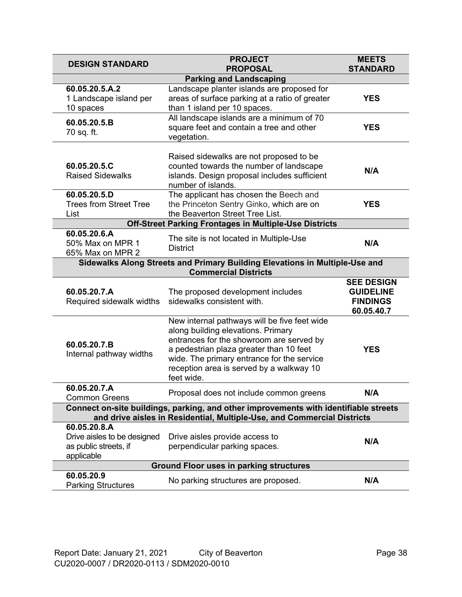| <b>DESIGN STANDARD</b>                                                                                                                                          | <b>PROJECT</b><br><b>PROPOSAL</b>                                                                                                                                                                                                                                                 | <b>MEETS</b><br><b>STANDARD</b>                                        |
|-----------------------------------------------------------------------------------------------------------------------------------------------------------------|-----------------------------------------------------------------------------------------------------------------------------------------------------------------------------------------------------------------------------------------------------------------------------------|------------------------------------------------------------------------|
|                                                                                                                                                                 | <b>Parking and Landscaping</b>                                                                                                                                                                                                                                                    |                                                                        |
| 60.05.20.5.A.2<br>1 Landscape island per<br>10 spaces                                                                                                           | Landscape planter islands are proposed for<br>areas of surface parking at a ratio of greater<br>than 1 island per 10 spaces.                                                                                                                                                      | <b>YES</b>                                                             |
| 60.05.20.5.B<br>70 sq. ft.                                                                                                                                      | All landscape islands are a minimum of 70<br>square feet and contain a tree and other<br>vegetation.                                                                                                                                                                              | <b>YES</b>                                                             |
| 60.05.20.5.C<br><b>Raised Sidewalks</b>                                                                                                                         | Raised sidewalks are not proposed to be<br>counted towards the number of landscape<br>islands. Design proposal includes sufficient<br>number of islands.                                                                                                                          | N/A                                                                    |
| 60.05.20.5.D<br><b>Trees from Street Tree</b><br>List                                                                                                           | The applicant has chosen the Beech and<br>the Princeton Sentry Ginko, which are on<br>the Beaverton Street Tree List.                                                                                                                                                             | <b>YES</b>                                                             |
|                                                                                                                                                                 | <b>Off-Street Parking Frontages in Multiple-Use Districts</b>                                                                                                                                                                                                                     |                                                                        |
| 60.05.20.6.A<br>50% Max on MPR 1<br>65% Max on MPR 2                                                                                                            | The site is not located in Multiple-Use<br><b>District</b>                                                                                                                                                                                                                        | N/A                                                                    |
|                                                                                                                                                                 | Sidewalks Along Streets and Primary Building Elevations in Multiple-Use and<br><b>Commercial Districts</b>                                                                                                                                                                        |                                                                        |
| 60.05.20.7.A<br>Required sidewalk widths                                                                                                                        | The proposed development includes<br>sidewalks consistent with.                                                                                                                                                                                                                   | <b>SEE DESIGN</b><br><b>GUIDELINE</b><br><b>FINDINGS</b><br>60.05.40.7 |
| 60.05.20.7.B<br>Internal pathway widths                                                                                                                         | New internal pathways will be five feet wide<br>along building elevations. Primary<br>entrances for the showroom are served by<br>a pedestrian plaza greater than 10 feet<br>wide. The primary entrance for the service<br>reception area is served by a walkway 10<br>feet wide. | <b>YES</b>                                                             |
| 60.05.20.7.A<br><b>Common Greens</b>                                                                                                                            | Proposal does not include common greens                                                                                                                                                                                                                                           | N/A                                                                    |
| Connect on-site buildings, parking, and other improvements with identifiable streets<br>and drive aisles in Residential, Multiple-Use, and Commercial Districts |                                                                                                                                                                                                                                                                                   |                                                                        |
| 60.05.20.8.A<br>Drive aisles to be designed<br>as public streets, if<br>applicable                                                                              | Drive aisles provide access to<br>perpendicular parking spaces.                                                                                                                                                                                                                   | N/A                                                                    |
| <b>Ground Floor uses in parking structures</b>                                                                                                                  |                                                                                                                                                                                                                                                                                   |                                                                        |
| 60.05.20.9<br><b>Parking Structures</b>                                                                                                                         | No parking structures are proposed.                                                                                                                                                                                                                                               | N/A                                                                    |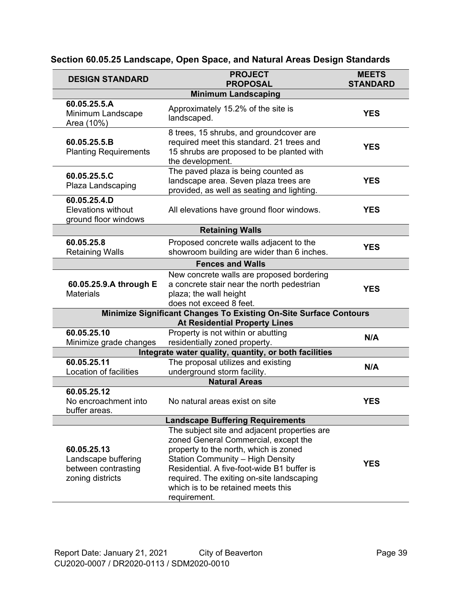| <b>DESIGN STANDARD</b>                                                        | <b>PROJECT</b><br><b>PROPOSAL</b>                                                                                                                                                                                                                                                                                         | <b>MEETS</b><br><b>STANDARD</b> |  |
|-------------------------------------------------------------------------------|---------------------------------------------------------------------------------------------------------------------------------------------------------------------------------------------------------------------------------------------------------------------------------------------------------------------------|---------------------------------|--|
|                                                                               | <b>Minimum Landscaping</b>                                                                                                                                                                                                                                                                                                |                                 |  |
| 60.05.25.5.A<br>Minimum Landscape<br>Area (10%)                               | Approximately 15.2% of the site is<br>landscaped.                                                                                                                                                                                                                                                                         | <b>YES</b>                      |  |
| 60.05.25.5.B<br><b>Planting Requirements</b>                                  | 8 trees, 15 shrubs, and groundcover are<br>required meet this standard. 21 trees and<br>15 shrubs are proposed to be planted with<br>the development.                                                                                                                                                                     | <b>YES</b>                      |  |
| 60.05.25.5.C<br>Plaza Landscaping                                             | The paved plaza is being counted as<br>landscape area. Seven plaza trees are<br>provided, as well as seating and lighting.                                                                                                                                                                                                | <b>YES</b>                      |  |
| 60.05.25.4.D<br><b>Elevations without</b><br>ground floor windows             | All elevations have ground floor windows.                                                                                                                                                                                                                                                                                 | <b>YES</b>                      |  |
|                                                                               | <b>Retaining Walls</b>                                                                                                                                                                                                                                                                                                    |                                 |  |
| 60.05.25.8<br><b>Retaining Walls</b>                                          | Proposed concrete walls adjacent to the<br>showroom building are wider than 6 inches.                                                                                                                                                                                                                                     | <b>YES</b>                      |  |
|                                                                               | <b>Fences and Walls</b>                                                                                                                                                                                                                                                                                                   |                                 |  |
| 60.05.25.9.A through E<br><b>Materials</b>                                    | New concrete walls are proposed bordering<br>a concrete stair near the north pedestrian<br>plaza; the wall height<br>does not exceed 8 feet.                                                                                                                                                                              | <b>YES</b>                      |  |
|                                                                               | Minimize Significant Changes To Existing On-Site Surface Contours<br><b>At Residential Property Lines</b>                                                                                                                                                                                                                 |                                 |  |
| 60.05.25.10<br>Minimize grade changes                                         | Property is not within or abutting<br>residentially zoned property.                                                                                                                                                                                                                                                       | N/A                             |  |
|                                                                               | Integrate water quality, quantity, or both facilities                                                                                                                                                                                                                                                                     |                                 |  |
| 60.05.25.11<br>Location of facilities                                         | The proposal utilizes and existing<br>underground storm facility.                                                                                                                                                                                                                                                         | N/A                             |  |
|                                                                               | <b>Natural Areas</b>                                                                                                                                                                                                                                                                                                      |                                 |  |
| 60.05.25.12<br>No encroachment into<br>buffer areas.                          | No natural areas exist on site                                                                                                                                                                                                                                                                                            | <b>YES</b>                      |  |
| <b>Landscape Buffering Requirements</b>                                       |                                                                                                                                                                                                                                                                                                                           |                                 |  |
| 60.05.25.13<br>Landscape buffering<br>between contrasting<br>zoning districts | The subject site and adjacent properties are<br>zoned General Commercial, except the<br>property to the north, which is zoned<br><b>Station Community - High Density</b><br>Residential. A five-foot-wide B1 buffer is<br>required. The exiting on-site landscaping<br>which is to be retained meets this<br>requirement. | <b>YES</b>                      |  |

### **Section 60.05.25 Landscape, Open Space, and Natural Areas Design Standards**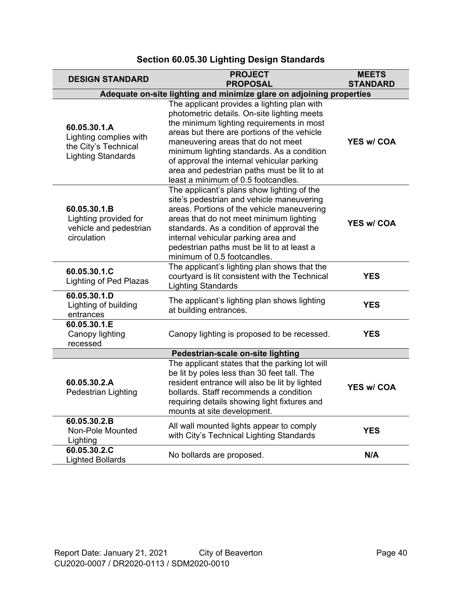| <b>DESIGN STANDARD</b>                                                                      | <b>PROJECT</b><br><b>PROPOSAL</b>                                                                                                                                                                                                                                                                                                                                                                              | <b>MEETS</b><br><b>STANDARD</b> |
|---------------------------------------------------------------------------------------------|----------------------------------------------------------------------------------------------------------------------------------------------------------------------------------------------------------------------------------------------------------------------------------------------------------------------------------------------------------------------------------------------------------------|---------------------------------|
| Adequate on-site lighting and minimize glare on adjoining properties                        |                                                                                                                                                                                                                                                                                                                                                                                                                |                                 |
| 60.05.30.1.A<br>Lighting complies with<br>the City's Technical<br><b>Lighting Standards</b> | The applicant provides a lighting plan with<br>photometric details. On-site lighting meets<br>the minimum lighting requirements in most<br>areas but there are portions of the vehicle<br>maneuvering areas that do not meet<br>minimum lighting standards. As a condition<br>of approval the internal vehicular parking<br>area and pedestrian paths must be lit to at<br>least a minimum of 0.5 footcandles. | <b>YES w/ COA</b>               |
| 60.05.30.1.B<br>Lighting provided for<br>vehicle and pedestrian<br>circulation              | The applicant's plans show lighting of the<br>site's pedestrian and vehicle maneuvering<br>areas. Portions of the vehicle maneuvering<br>areas that do not meet minimum lighting<br>standards. As a condition of approval the<br>internal vehicular parking area and<br>pedestrian paths must be lit to at least a<br>minimum of 0.5 footcandles.                                                              | <b>YES w/ COA</b>               |
| 60.05.30.1.C<br><b>Lighting of Ped Plazas</b>                                               | The applicant's lighting plan shows that the<br>courtyard is lit consistent with the Technical<br><b>Lighting Standards</b>                                                                                                                                                                                                                                                                                    | <b>YES</b>                      |
| 60.05.30.1.D<br>Lighting of building<br>entrances                                           | The applicant's lighting plan shows lighting<br>at building entrances.                                                                                                                                                                                                                                                                                                                                         | <b>YES</b>                      |
| 60.05.30.1.E<br>Canopy lighting<br>recessed                                                 | Canopy lighting is proposed to be recessed.                                                                                                                                                                                                                                                                                                                                                                    | <b>YES</b>                      |
| Pedestrian-scale on-site lighting                                                           |                                                                                                                                                                                                                                                                                                                                                                                                                |                                 |
| 60.05.30.2.A<br><b>Pedestrian Lighting</b>                                                  | The applicant states that the parking lot will<br>be lit by poles less than 30 feet tall. The<br>resident entrance will also be lit by lighted<br>bollards. Staff recommends a condition<br>requiring details showing light fixtures and<br>mounts at site development.                                                                                                                                        | <b>YES w/ COA</b>               |
| 60.05.30.2.B<br>Non-Pole Mounted<br>Lighting                                                | All wall mounted lights appear to comply<br>with City's Technical Lighting Standards                                                                                                                                                                                                                                                                                                                           | <b>YES</b>                      |
| 60.05.30.2.C<br><b>Lighted Bollards</b>                                                     | No bollards are proposed.                                                                                                                                                                                                                                                                                                                                                                                      | N/A                             |

### **Section 60.05.30 Lighting Design Standards**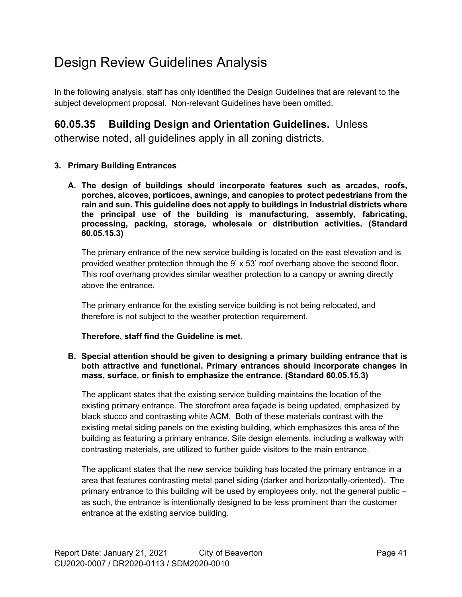## Design Review Guidelines Analysis

In the following analysis, staff has only identified the Design Guidelines that are relevant to the subject development proposal. Non-relevant Guidelines have been omitted.

### **60.05.35 Building Design and Orientation Guidelines.** Unless

otherwise noted, all guidelines apply in all zoning districts.

#### **3. Primary Building Entrances**

**A. The design of buildings should incorporate features such as arcades, roofs, porches, alcoves, porticoes, awnings, and canopies to protect pedestrians from the rain and sun. This guideline does not apply to buildings in Industrial districts where the principal use of the building is manufacturing, assembly, fabricating, processing, packing, storage, wholesale or distribution activities. (Standard 60.05.15.3)**

The primary entrance of the new service building is located on the east elevation and is provided weather protection through the 9' x 53' roof overhang above the second floor. This roof overhang provides similar weather protection to a canopy or awning directly above the entrance.

The primary entrance for the existing service building is not being relocated, and therefore is not subject to the weather protection requirement.

#### **Therefore, staff find the Guideline is met.**

#### **B. Special attention should be given to designing a primary building entrance that is both attractive and functional. Primary entrances should incorporate changes in mass, surface, or finish to emphasize the entrance. (Standard 60.05.15.3)**

The applicant states that the existing service building maintains the location of the existing primary entrance. The storefront area façade is being updated, emphasized by black stucco and contrasting white ACM. Both of these materials contrast with the existing metal siding panels on the existing building, which emphasizes this area of the building as featuring a primary entrance. Site design elements, including a walkway with contrasting materials, are utilized to further guide visitors to the main entrance.

The applicant states that the new service building has located the primary entrance in a area that features contrasting metal panel siding (darker and horizontally-oriented). The primary entrance to this building will be used by employees only, not the general public – as such, the entrance is intentionally designed to be less prominent than the customer entrance at the existing service building.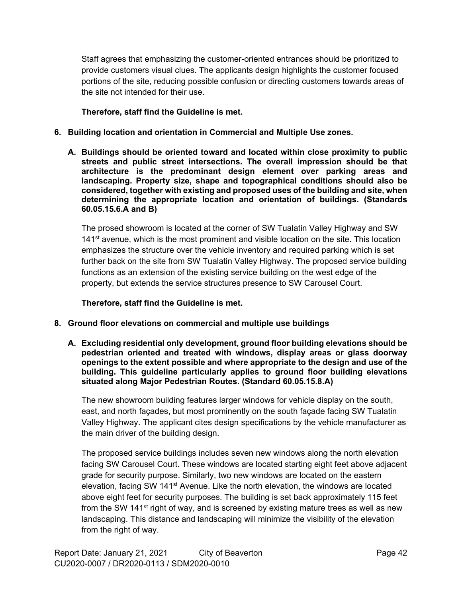Staff agrees that emphasizing the customer-oriented entrances should be prioritized to provide customers visual clues. The applicants design highlights the customer focused portions of the site, reducing possible confusion or directing customers towards areas of the site not intended for their use.

**Therefore, staff find the Guideline is met.**

- **6. Building location and orientation in Commercial and Multiple Use zones.** 
	- **A. Buildings should be oriented toward and located within close proximity to public streets and public street intersections. The overall impression should be that architecture is the predominant design element over parking areas and landscaping. Property size, shape and topographical conditions should also be considered, together with existing and proposed uses of the building and site, when determining the appropriate location and orientation of buildings. (Standards 60.05.15.6.A and B)**

The prosed showroom is located at the corner of SW Tualatin Valley Highway and SW  $141$ <sup>st</sup> avenue, which is the most prominent and visible location on the site. This location emphasizes the structure over the vehicle inventory and required parking which is set further back on the site from SW Tualatin Valley Highway. The proposed service building functions as an extension of the existing service building on the west edge of the property, but extends the service structures presence to SW Carousel Court.

**Therefore, staff find the Guideline is met.**

- **8. Ground floor elevations on commercial and multiple use buildings**
	- **A. Excluding residential only development, ground floor building elevations should be pedestrian oriented and treated with windows, display areas or glass doorway openings to the extent possible and where appropriate to the design and use of the building. This guideline particularly applies to ground floor building elevations situated along Major Pedestrian Routes. (Standard 60.05.15.8.A)**

The new showroom building features larger windows for vehicle display on the south, east, and north façades, but most prominently on the south façade facing SW Tualatin Valley Highway. The applicant cites design specifications by the vehicle manufacturer as the main driver of the building design.

The proposed service buildings includes seven new windows along the north elevation facing SW Carousel Court. These windows are located starting eight feet above adjacent grade for security purpose. Similarly, two new windows are located on the eastern elevation, facing SW 141<sup>st</sup> Avenue. Like the north elevation, the windows are located above eight feet for security purposes. The building is set back approximately 115 feet from the SW 141<sup>st</sup> right of way, and is screened by existing mature trees as well as new landscaping. This distance and landscaping will minimize the visibility of the elevation from the right of way.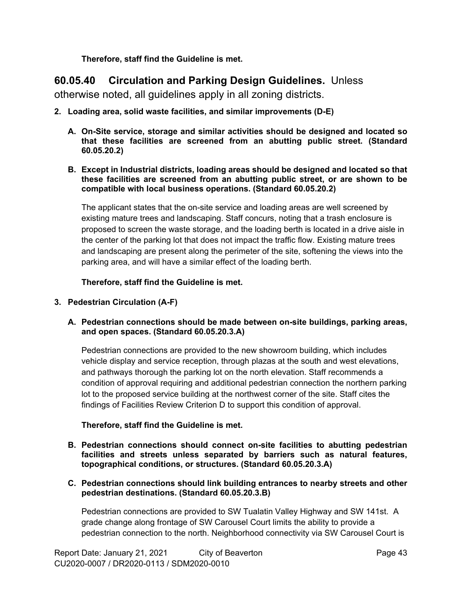**Therefore, staff find the Guideline is met.**

### **60.05.40 Circulation and Parking Design Guidelines.** Unless

otherwise noted, all guidelines apply in all zoning districts.

- **2. Loading area, solid waste facilities, and similar improvements (D-E)**
	- **A. On-Site service, storage and similar activities should be designed and located so that these facilities are screened from an abutting public street. (Standard 60.05.20.2)**
	- **B. Except in Industrial districts, loading areas should be designed and located so that these facilities are screened from an abutting public street, or are shown to be compatible with local business operations. (Standard 60.05.20.2)**

The applicant states that the on-site service and loading areas are well screened by existing mature trees and landscaping. Staff concurs, noting that a trash enclosure is proposed to screen the waste storage, and the loading berth is located in a drive aisle in the center of the parking lot that does not impact the traffic flow. Existing mature trees and landscaping are present along the perimeter of the site, softening the views into the parking area, and will have a similar effect of the loading berth.

**Therefore, staff find the Guideline is met.**

- **3. Pedestrian Circulation (A-F)**
	- **A. Pedestrian connections should be made between on-site buildings, parking areas, and open spaces. (Standard 60.05.20.3.A)**

Pedestrian connections are provided to the new showroom building, which includes vehicle display and service reception, through plazas at the south and west elevations, and pathways thorough the parking lot on the north elevation. Staff recommends a condition of approval requiring and additional pedestrian connection the northern parking lot to the proposed service building at the northwest corner of the site. Staff cites the findings of Facilities Review Criterion D to support this condition of approval.

#### **Therefore, staff find the Guideline is met.**

- **B. Pedestrian connections should connect on-site facilities to abutting pedestrian facilities and streets unless separated by barriers such as natural features, topographical conditions, or structures. (Standard 60.05.20.3.A)**
- **C. Pedestrian connections should link building entrances to nearby streets and other pedestrian destinations. (Standard 60.05.20.3.B)**

Pedestrian connections are provided to SW Tualatin Valley Highway and SW 141st. A grade change along frontage of SW Carousel Court limits the ability to provide a pedestrian connection to the north. Neighborhood connectivity via SW Carousel Court is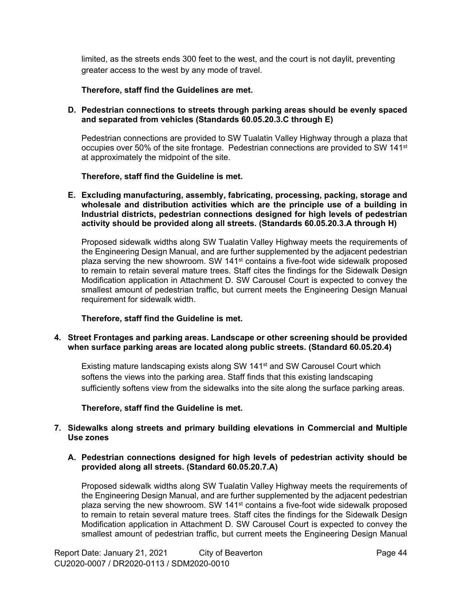limited, as the streets ends 300 feet to the west, and the court is not daylit, preventing greater access to the west by any mode of travel.

#### **Therefore, staff find the Guidelines are met.**

#### **D. Pedestrian connections to streets through parking areas should be evenly spaced and separated from vehicles (Standards 60.05.20.3.C through E)**

Pedestrian connections are provided to SW Tualatin Valley Highway through a plaza that occupies over 50% of the site frontage. Pedestrian connections are provided to SW 141<sup>st</sup> at approximately the midpoint of the site.

**Therefore, staff find the Guideline is met.**

**E. Excluding manufacturing, assembly, fabricating, processing, packing, storage and wholesale and distribution activities which are the principle use of a building in Industrial districts, pedestrian connections designed for high levels of pedestrian activity should be provided along all streets. (Standards 60.05.20.3.A through H)**

Proposed sidewalk widths along SW Tualatin Valley Highway meets the requirements of the Engineering Design Manual, and are further supplemented by the adjacent pedestrian plaza serving the new showroom. SW 141<sup>st</sup> contains a five-foot wide sidewalk proposed to remain to retain several mature trees. Staff cites the findings for the Sidewalk Design Modification application in Attachment D. SW Carousel Court is expected to convey the smallest amount of pedestrian traffic, but current meets the Engineering Design Manual requirement for sidewalk width.

**Therefore, staff find the Guideline is met.**

#### **4. Street Frontages and parking areas. Landscape or other screening should be provided when surface parking areas are located along public streets. (Standard 60.05.20.4)**

Existing mature landscaping exists along SW 141<sup>st</sup> and SW Carousel Court which softens the views into the parking area. Staff finds that this existing landscaping sufficiently softens view from the sidewalks into the site along the surface parking areas.

#### **Therefore, staff find the Guideline is met.**

#### **7. Sidewalks along streets and primary building elevations in Commercial and Multiple Use zones**

#### **A. Pedestrian connections designed for high levels of pedestrian activity should be provided along all streets. (Standard 60.05.20.7.A)**

Proposed sidewalk widths along SW Tualatin Valley Highway meets the requirements of the Engineering Design Manual, and are further supplemented by the adjacent pedestrian plaza serving the new showroom. SW 141<sup>st</sup> contains a five-foot wide sidewalk proposed to remain to retain several mature trees. Staff cites the findings for the Sidewalk Design Modification application in Attachment D. SW Carousel Court is expected to convey the smallest amount of pedestrian traffic, but current meets the Engineering Design Manual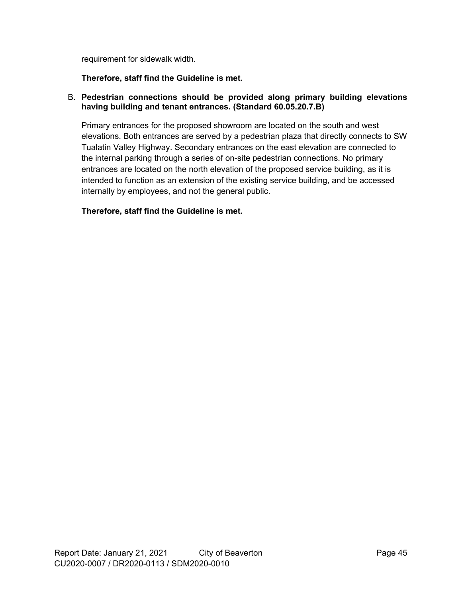requirement for sidewalk width.

#### **Therefore, staff find the Guideline is met.**

#### B. **Pedestrian connections should be provided along primary building elevations having building and tenant entrances. (Standard 60.05.20.7.B)**

Primary entrances for the proposed showroom are located on the south and west elevations. Both entrances are served by a pedestrian plaza that directly connects to SW Tualatin Valley Highway. Secondary entrances on the east elevation are connected to the internal parking through a series of on-site pedestrian connections. No primary entrances are located on the north elevation of the proposed service building, as it is intended to function as an extension of the existing service building, and be accessed internally by employees, and not the general public.

#### **Therefore, staff find the Guideline is met.**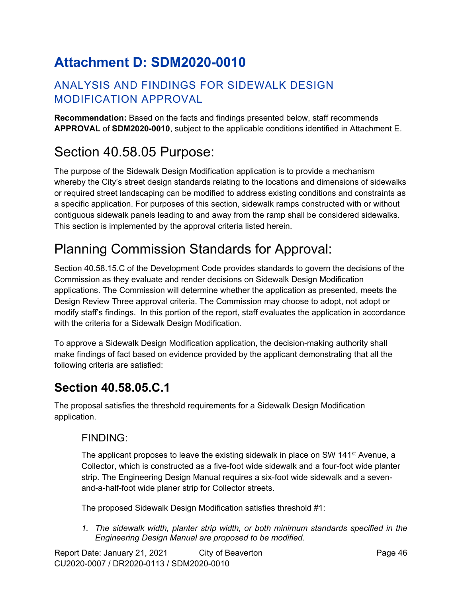# **Attachment D: SDM2020-0010**

### ANALYSIS AND FINDINGS FOR SIDEWALK DESIGN MODIFICATION APPROVAL

**Recommendation:** Based on the facts and findings presented below, staff recommends **APPROVAL** of **SDM2020-0010**, subject to the applicable conditions identified in Attachment E.

# <span id="page-45-0"></span>Section 40.58.05 Purpose:

The purpose of the Sidewalk Design Modification application is to provide a mechanism whereby the City's street design standards relating to the locations and dimensions of sidewalks or required street landscaping can be modified to address existing conditions and constraints as a specific application. For purposes of this section, sidewalk ramps constructed with or without contiguous sidewalk panels leading to and away from the ramp shall be considered sidewalks. This section is implemented by the approval criteria listed herein.

# Planning Commission Standards for Approval:

Section 40.58.15.C of the Development Code provides standards to govern the decisions of the Commission as they evaluate and render decisions on Sidewalk Design Modification applications. The Commission will determine whether the application as presented, meets the Design Review Three approval criteria. The Commission may choose to adopt, not adopt or modify staff's findings. In this portion of the report, staff evaluates the application in accordance with the criteria for a Sidewalk Design Modification.

To approve a Sidewalk Design Modification application, the decision-making authority shall make findings of fact based on evidence provided by the applicant demonstrating that all the following criteria are satisfied:

## **Section 40.58.05.C.1**

The proposal satisfies the threshold requirements for a Sidewalk Design Modification application.

### FINDING:

The applicant proposes to leave the existing sidewalk in place on SW 141 $\mathrm{st}$  Avenue, a Collector, which is constructed as a five-foot wide sidewalk and a four-foot wide planter strip. The Engineering Design Manual requires a six-foot wide sidewalk and a sevenand-a-half-foot wide planer strip for Collector streets.

The proposed Sidewalk Design Modification satisfies threshold #1:

*1. The sidewalk width, planter strip width, or both minimum standards specified in the Engineering Design Manual are proposed to be modified.*

Report Date: January 21, 2021 City of Beaverton Change 46 CU2020-0007 / DR2020-0113 / SDM2020-0010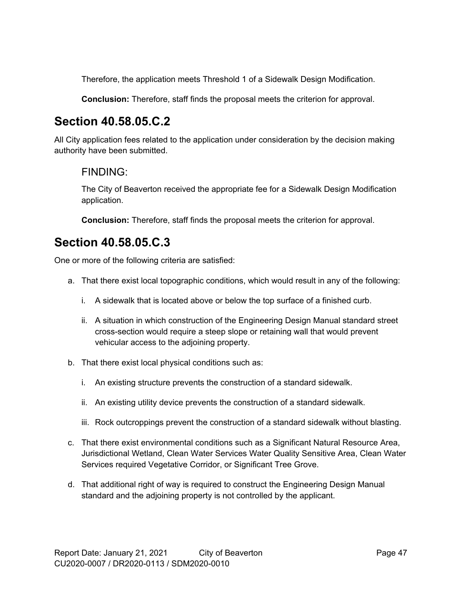Therefore, the application meets Threshold 1 of a Sidewalk Design Modification.

**Conclusion:** Therefore, staff finds the proposal meets the criterion for approval.

## **Section 40.58.05.C.2**

All City application fees related to the application under consideration by the decision making authority have been submitted.

### FINDING:

The City of Beaverton received the appropriate fee for a Sidewalk Design Modification application.

**Conclusion:** Therefore, staff finds the proposal meets the criterion for approval.

## **Section 40.58.05.C.3**

One or more of the following criteria are satisfied:

- a. That there exist local topographic conditions, which would result in any of the following:
	- i. A sidewalk that is located above or below the top surface of a finished curb.
	- ii. A situation in which construction of the Engineering Design Manual standard street cross-section would require a steep slope or retaining wall that would prevent vehicular access to the adjoining property.
- b. That there exist local physical conditions such as:
	- i. An existing structure prevents the construction of a standard sidewalk.
	- ii. An existing utility device prevents the construction of a standard sidewalk.
	- iii. Rock outcroppings prevent the construction of a standard sidewalk without blasting.
- c. That there exist environmental conditions such as a Significant Natural Resource Area, Jurisdictional Wetland, Clean Water Services Water Quality Sensitive Area, Clean Water Services required Vegetative Corridor, or Significant Tree Grove.
- d. That additional right of way is required to construct the Engineering Design Manual standard and the adjoining property is not controlled by the applicant.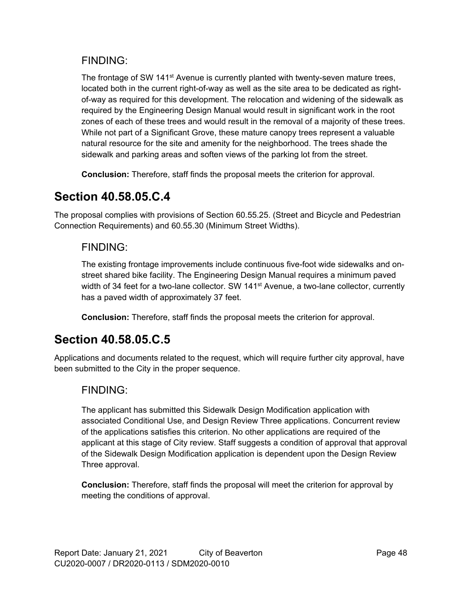### FINDING:

The frontage of SW 141<sup>st</sup> Avenue is currently planted with twenty-seven mature trees, located both in the current right-of-way as well as the site area to be dedicated as rightof-way as required for this development. The relocation and widening of the sidewalk as required by the Engineering Design Manual would result in significant work in the root zones of each of these trees and would result in the removal of a majority of these trees. While not part of a Significant Grove, these mature canopy trees represent a valuable natural resource for the site and amenity for the neighborhood. The trees shade the sidewalk and parking areas and soften views of the parking lot from the street.

**Conclusion:** Therefore, staff finds the proposal meets the criterion for approval.

## **Section 40.58.05.C.4**

The proposal complies with provisions of Section 60.55.25. (Street and Bicycle and Pedestrian Connection Requirements) and 60.55.30 (Minimum Street Widths).

### FINDING:

The existing frontage improvements include continuous five-foot wide sidewalks and onstreet shared bike facility. The Engineering Design Manual requires a minimum paved width of 34 feet for a two-lane collector. SW 141<sup>st</sup> Avenue, a two-lane collector, currently has a paved width of approximately 37 feet.

**Conclusion:** Therefore, staff finds the proposal meets the criterion for approval.

## **Section 40.58.05.C.5**

Applications and documents related to the request, which will require further city approval, have been submitted to the City in the proper sequence.

### FINDING:

The applicant has submitted this Sidewalk Design Modification application with associated Conditional Use, and Design Review Three applications. Concurrent review of the applications satisfies this criterion. No other applications are required of the applicant at this stage of City review. Staff suggests a condition of approval that approval of the Sidewalk Design Modification application is dependent upon the Design Review Three approval.

**Conclusion:** Therefore, staff finds the proposal will meet the criterion for approval by meeting the conditions of approval.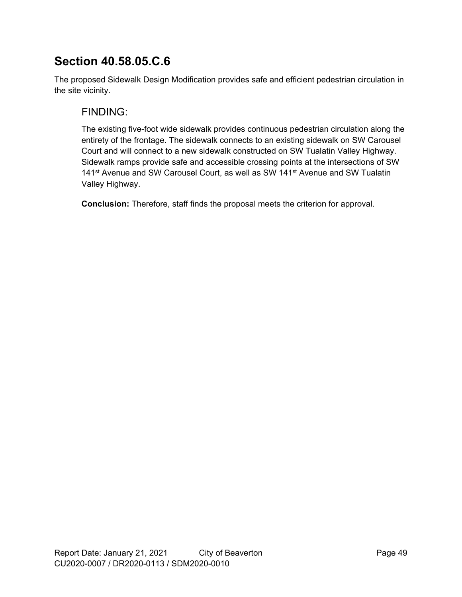## **Section 40.58.05.C.6**

The proposed Sidewalk Design Modification provides safe and efficient pedestrian circulation in the site vicinity.

### FINDING:

The existing five-foot wide sidewalk provides continuous pedestrian circulation along the entirety of the frontage. The sidewalk connects to an existing sidewalk on SW Carousel Court and will connect to a new sidewalk constructed on SW Tualatin Valley Highway. Sidewalk ramps provide safe and accessible crossing points at the intersections of SW 141<sup>st</sup> Avenue and SW Carousel Court, as well as SW 141<sup>st</sup> Avenue and SW Tualatin Valley Highway.

**Conclusion:** Therefore, staff finds the proposal meets the criterion for approval.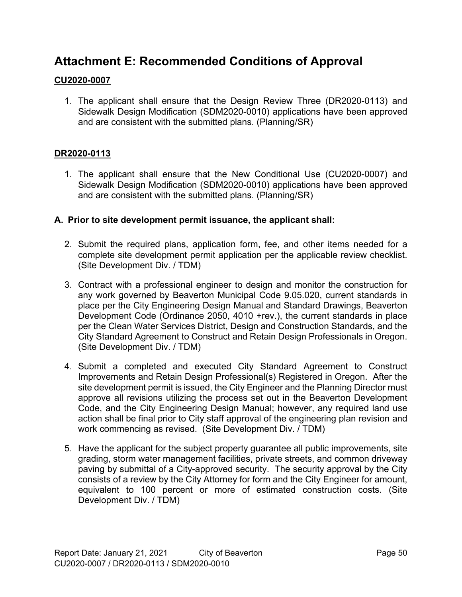## **Attachment E: Recommended Conditions of Approval**

### **CU2020-0007**

1. The applicant shall ensure that the Design Review Three (DR2020-0113) and Sidewalk Design Modification (SDM2020-0010) applications have been approved and are consistent with the submitted plans. (Planning/SR)

### **DR2020-0113**

1. The applicant shall ensure that the New Conditional Use (CU2020-0007) and Sidewalk Design Modification (SDM2020-0010) applications have been approved and are consistent with the submitted plans. (Planning/SR)

#### **A. Prior to site development permit issuance, the applicant shall:**

- 2. Submit the required plans, application form, fee, and other items needed for a complete site development permit application per the applicable review checklist. (Site Development Div. / TDM)
- 3. Contract with a professional engineer to design and monitor the construction for any work governed by Beaverton Municipal Code 9.05.020, current standards in place per the City Engineering Design Manual and Standard Drawings, Beaverton Development Code (Ordinance 2050, 4010 +rev.), the current standards in place per the Clean Water Services District, Design and Construction Standards, and the City Standard Agreement to Construct and Retain Design Professionals in Oregon. (Site Development Div. / TDM)
- 4. Submit a completed and executed City Standard Agreement to Construct Improvements and Retain Design Professional(s) Registered in Oregon. After the site development permit is issued, the City Engineer and the Planning Director must approve all revisions utilizing the process set out in the Beaverton Development Code, and the City Engineering Design Manual; however, any required land use action shall be final prior to City staff approval of the engineering plan revision and work commencing as revised. (Site Development Div. / TDM)
- 5. Have the applicant for the subject property guarantee all public improvements, site grading, storm water management facilities, private streets, and common driveway paving by submittal of a City-approved security. The security approval by the City consists of a review by the City Attorney for form and the City Engineer for amount, equivalent to 100 percent or more of estimated construction costs. (Site Development Div. / TDM)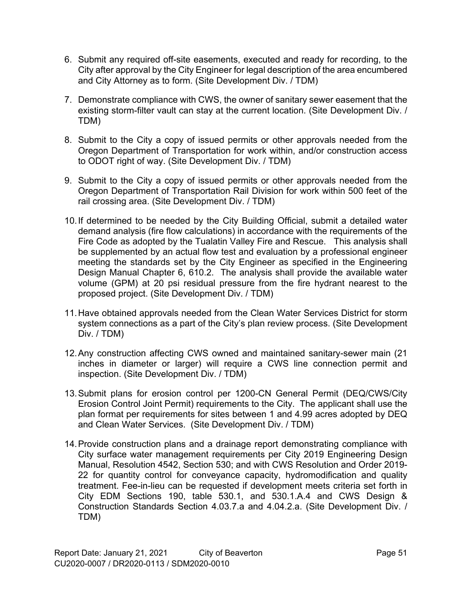- 6. Submit any required off-site easements, executed and ready for recording, to the City after approval by the City Engineer for legal description of the area encumbered and City Attorney as to form. (Site Development Div. / TDM)
- 7. Demonstrate compliance with CWS, the owner of sanitary sewer easement that the existing storm-filter vault can stay at the current location. (Site Development Div. / TDM)
- 8. Submit to the City a copy of issued permits or other approvals needed from the Oregon Department of Transportation for work within, and/or construction access to ODOT right of way. (Site Development Div. / TDM)
- 9. Submit to the City a copy of issued permits or other approvals needed from the Oregon Department of Transportation Rail Division for work within 500 feet of the rail crossing area. (Site Development Div. / TDM)
- 10.If determined to be needed by the City Building Official, submit a detailed water demand analysis (fire flow calculations) in accordance with the requirements of the Fire Code as adopted by the Tualatin Valley Fire and Rescue. This analysis shall be supplemented by an actual flow test and evaluation by a professional engineer meeting the standards set by the City Engineer as specified in the Engineering Design Manual Chapter 6, 610.2. The analysis shall provide the available water volume (GPM) at 20 psi residual pressure from the fire hydrant nearest to the proposed project. (Site Development Div. / TDM)
- 11.Have obtained approvals needed from the Clean Water Services District for storm system connections as a part of the City's plan review process. (Site Development Div. / TDM)
- 12.Any construction affecting CWS owned and maintained sanitary-sewer main (21 inches in diameter or larger) will require a CWS line connection permit and inspection. (Site Development Div. / TDM)
- 13.Submit plans for erosion control per 1200-CN General Permit (DEQ/CWS/City Erosion Control Joint Permit) requirements to the City. The applicant shall use the plan format per requirements for sites between 1 and 4.99 acres adopted by DEQ and Clean Water Services. (Site Development Div. / TDM)
- 14.Provide construction plans and a drainage report demonstrating compliance with City surface water management requirements per City 2019 Engineering Design Manual, Resolution 4542, Section 530; and with CWS Resolution and Order 2019- 22 for quantity control for conveyance capacity, hydromodification and quality treatment. Fee-in-lieu can be requested if development meets criteria set forth in City EDM Sections 190, table 530.1, and 530.1.A.4 and CWS Design & Construction Standards Section 4.03.7.a and 4.04.2.a. (Site Development Div. / TDM)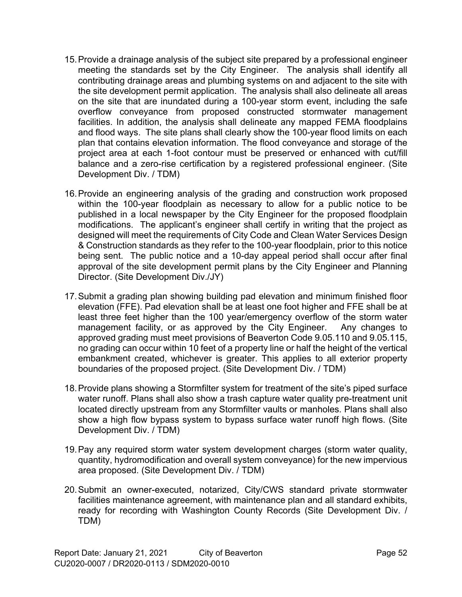- 15.Provide a drainage analysis of the subject site prepared by a professional engineer meeting the standards set by the City Engineer. The analysis shall identify all contributing drainage areas and plumbing systems on and adjacent to the site with the site development permit application. The analysis shall also delineate all areas on the site that are inundated during a 100-year storm event, including the safe overflow conveyance from proposed constructed stormwater management facilities. In addition, the analysis shall delineate any mapped FEMA floodplains and flood ways. The site plans shall clearly show the 100-year flood limits on each plan that contains elevation information. The flood conveyance and storage of the project area at each 1-foot contour must be preserved or enhanced with cut/fill balance and a zero-rise certification by a registered professional engineer. (Site Development Div. / TDM)
- 16.Provide an engineering analysis of the grading and construction work proposed within the 100-year floodplain as necessary to allow for a public notice to be published in a local newspaper by the City Engineer for the proposed floodplain modifications. The applicant's engineer shall certify in writing that the project as designed will meet the requirements of City Code and Clean Water Services Design & Construction standards as they refer to the 100-year floodplain, prior to this notice being sent. The public notice and a 10-day appeal period shall occur after final approval of the site development permit plans by the City Engineer and Planning Director. (Site Development Div./JY)
- 17.Submit a grading plan showing building pad elevation and minimum finished floor elevation (FFE). Pad elevation shall be at least one foot higher and FFE shall be at least three feet higher than the 100 year/emergency overflow of the storm water management facility, or as approved by the City Engineer. Any changes to approved grading must meet provisions of Beaverton Code 9.05.110 and 9.05.115, no grading can occur within 10 feet of a property line or half the height of the vertical embankment created, whichever is greater. This applies to all exterior property boundaries of the proposed project. (Site Development Div. / TDM)
- 18.Provide plans showing a Stormfilter system for treatment of the site's piped surface water runoff. Plans shall also show a trash capture water quality pre-treatment unit located directly upstream from any Stormfilter vaults or manholes. Plans shall also show a high flow bypass system to bypass surface water runoff high flows. (Site Development Div. / TDM)
- 19.Pay any required storm water system development charges (storm water quality, quantity, hydromodification and overall system conveyance) for the new impervious area proposed. (Site Development Div. / TDM)
- 20.Submit an owner-executed, notarized, City/CWS standard private stormwater facilities maintenance agreement, with maintenance plan and all standard exhibits, ready for recording with Washington County Records (Site Development Div. / TDM)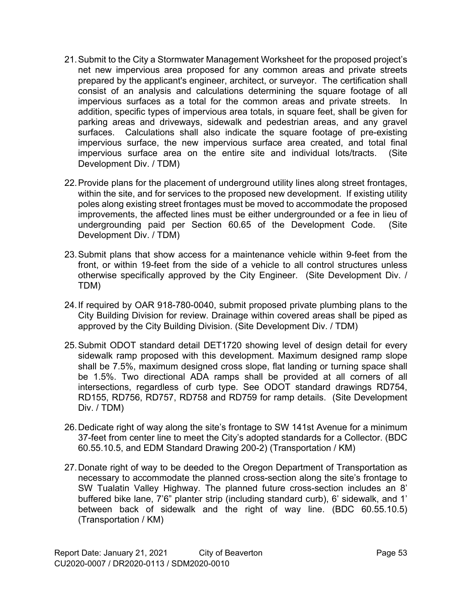- 21.Submit to the City a Stormwater Management Worksheet for the proposed project's net new impervious area proposed for any common areas and private streets prepared by the applicant's engineer, architect, or surveyor. The certification shall consist of an analysis and calculations determining the square footage of all impervious surfaces as a total for the common areas and private streets. In addition, specific types of impervious area totals, in square feet, shall be given for parking areas and driveways, sidewalk and pedestrian areas, and any gravel surfaces. Calculations shall also indicate the square footage of pre-existing impervious surface, the new impervious surface area created, and total final impervious surface area on the entire site and individual lots/tracts. (Site Development Div. / TDM)
- 22.Provide plans for the placement of underground utility lines along street frontages, within the site, and for services to the proposed new development. If existing utility poles along existing street frontages must be moved to accommodate the proposed improvements, the affected lines must be either undergrounded or a fee in lieu of undergrounding paid per Section 60.65 of the Development Code. (Site Development Div. / TDM)
- 23.Submit plans that show access for a maintenance vehicle within 9-feet from the front, or within 19-feet from the side of a vehicle to all control structures unless otherwise specifically approved by the City Engineer. (Site Development Div. / TDM)
- 24.If required by OAR 918-780-0040, submit proposed private plumbing plans to the City Building Division for review. Drainage within covered areas shall be piped as approved by the City Building Division. (Site Development Div. / TDM)
- 25.Submit ODOT standard detail DET1720 showing level of design detail for every sidewalk ramp proposed with this development. Maximum designed ramp slope shall be 7.5%, maximum designed cross slope, flat landing or turning space shall be 1.5%. Two directional ADA ramps shall be provided at all corners of all intersections, regardless of curb type. See ODOT standard drawings RD754, RD155, RD756, RD757, RD758 and RD759 for ramp details. (Site Development Div. / TDM)
- 26.Dedicate right of way along the site's frontage to SW 141st Avenue for a minimum 37-feet from center line to meet the City's adopted standards for a Collector. (BDC 60.55.10.5, and EDM Standard Drawing 200-2) (Transportation / KM)
- 27.Donate right of way to be deeded to the Oregon Department of Transportation as necessary to accommodate the planned cross-section along the site's frontage to SW Tualatin Valley Highway. The planned future cross-section includes an 8' buffered bike lane, 7'6" planter strip (including standard curb), 6' sidewalk, and 1' between back of sidewalk and the right of way line. (BDC 60.55.10.5) (Transportation / KM)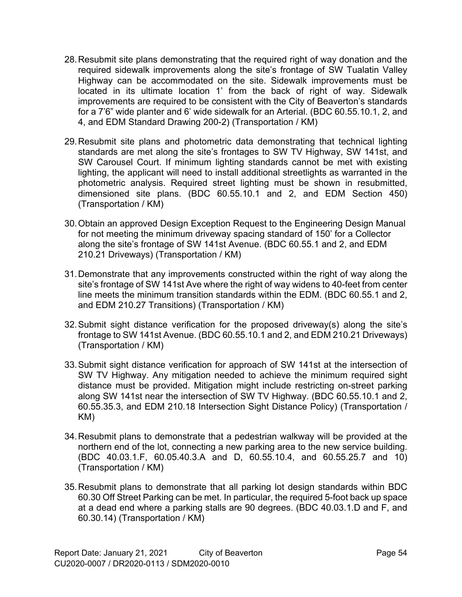- 28.Resubmit site plans demonstrating that the required right of way donation and the required sidewalk improvements along the site's frontage of SW Tualatin Valley Highway can be accommodated on the site. Sidewalk improvements must be located in its ultimate location 1' from the back of right of way. Sidewalk improvements are required to be consistent with the City of Beaverton's standards for a 7'6" wide planter and 6' wide sidewalk for an Arterial. (BDC 60.55.10.1, 2, and 4, and EDM Standard Drawing 200-2) (Transportation / KM)
- 29.Resubmit site plans and photometric data demonstrating that technical lighting standards are met along the site's frontages to SW TV Highway, SW 141st, and SW Carousel Court. If minimum lighting standards cannot be met with existing lighting, the applicant will need to install additional streetlights as warranted in the photometric analysis. Required street lighting must be shown in resubmitted, dimensioned site plans. (BDC 60.55.10.1 and 2, and EDM Section 450) (Transportation / KM)
- 30.Obtain an approved Design Exception Request to the Engineering Design Manual for not meeting the minimum driveway spacing standard of 150' for a Collector along the site's frontage of SW 141st Avenue. (BDC 60.55.1 and 2, and EDM 210.21 Driveways) (Transportation / KM)
- 31.Demonstrate that any improvements constructed within the right of way along the site's frontage of SW 141st Ave where the right of way widens to 40-feet from center line meets the minimum transition standards within the EDM. (BDC 60.55.1 and 2, and EDM 210.27 Transitions) (Transportation / KM)
- 32.Submit sight distance verification for the proposed driveway(s) along the site's frontage to SW 141st Avenue. (BDC 60.55.10.1 and 2, and EDM 210.21 Driveways) (Transportation / KM)
- 33.Submit sight distance verification for approach of SW 141st at the intersection of SW TV Highway. Any mitigation needed to achieve the minimum required sight distance must be provided. Mitigation might include restricting on-street parking along SW 141st near the intersection of SW TV Highway. (BDC 60.55.10.1 and 2, 60.55.35.3, and EDM 210.18 Intersection Sight Distance Policy) (Transportation / KM)
- 34.Resubmit plans to demonstrate that a pedestrian walkway will be provided at the northern end of the lot, connecting a new parking area to the new service building. (BDC 40.03.1.F, 60.05.40.3.A and D, 60.55.10.4, and 60.55.25.7 and 10) (Transportation / KM)
- 35.Resubmit plans to demonstrate that all parking lot design standards within BDC 60.30 Off Street Parking can be met. In particular, the required 5-foot back up space at a dead end where a parking stalls are 90 degrees. (BDC 40.03.1.D and F, and 60.30.14) (Transportation / KM)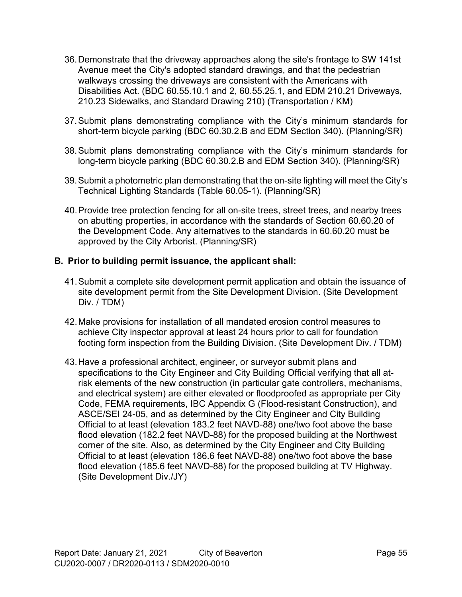- 36.Demonstrate that the driveway approaches along the site's frontage to SW 141st Avenue meet the City's adopted standard drawings, and that the pedestrian walkways crossing the driveways are consistent with the Americans with Disabilities Act. (BDC 60.55.10.1 and 2, 60.55.25.1, and EDM 210.21 Driveways, 210.23 Sidewalks, and Standard Drawing 210) (Transportation / KM)
- 37.Submit plans demonstrating compliance with the City's minimum standards for short-term bicycle parking (BDC 60.30.2.B and EDM Section 340). (Planning/SR)
- 38.Submit plans demonstrating compliance with the City's minimum standards for long-term bicycle parking (BDC 60.30.2.B and EDM Section 340). (Planning/SR)
- 39.Submit a photometric plan demonstrating that the on-site lighting will meet the City's Technical Lighting Standards (Table 60.05-1). (Planning/SR)
- 40.Provide tree protection fencing for all on-site trees, street trees, and nearby trees on abutting properties, in accordance with the standards of Section 60.60.20 of the Development Code. Any alternatives to the standards in 60.60.20 must be approved by the City Arborist. (Planning/SR)

#### **B. Prior to building permit issuance, the applicant shall:**

- 41.Submit a complete site development permit application and obtain the issuance of site development permit from the Site Development Division. (Site Development Div. / TDM)
- 42.Make provisions for installation of all mandated erosion control measures to achieve City inspector approval at least 24 hours prior to call for foundation footing form inspection from the Building Division. (Site Development Div. / TDM)
- 43.Have a professional architect, engineer, or surveyor submit plans and specifications to the City Engineer and City Building Official verifying that all atrisk elements of the new construction (in particular gate controllers, mechanisms, and electrical system) are either elevated or floodproofed as appropriate per City Code, FEMA requirements, IBC Appendix G (Flood-resistant Construction), and ASCE/SEI 24-05, and as determined by the City Engineer and City Building Official to at least (elevation 183.2 feet NAVD-88) one/two foot above the base flood elevation (182.2 feet NAVD-88) for the proposed building at the Northwest corner of the site. Also, as determined by the City Engineer and City Building Official to at least (elevation 186.6 feet NAVD-88) one/two foot above the base flood elevation (185.6 feet NAVD-88) for the proposed building at TV Highway. (Site Development Div./JY)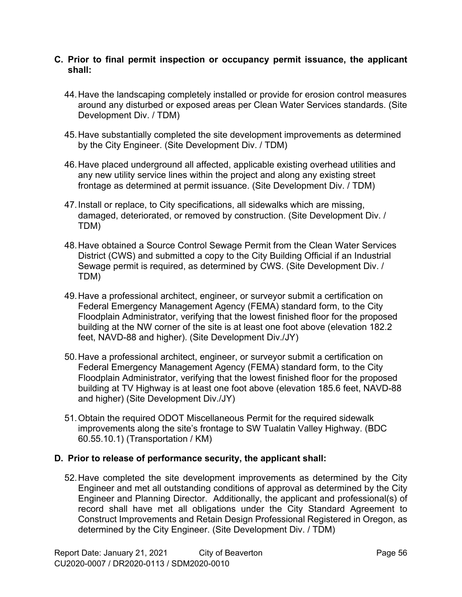#### **C. Prior to final permit inspection or occupancy permit issuance, the applicant shall:**

- 44.Have the landscaping completely installed or provide for erosion control measures around any disturbed or exposed areas per Clean Water Services standards. (Site Development Div. / TDM)
- 45.Have substantially completed the site development improvements as determined by the City Engineer. (Site Development Div. / TDM)
- 46.Have placed underground all affected, applicable existing overhead utilities and any new utility service lines within the project and along any existing street frontage as determined at permit issuance. (Site Development Div. / TDM)
- 47.Install or replace, to City specifications, all sidewalks which are missing, damaged, deteriorated, or removed by construction. (Site Development Div. / TDM)
- 48.Have obtained a Source Control Sewage Permit from the Clean Water Services District (CWS) and submitted a copy to the City Building Official if an Industrial Sewage permit is required, as determined by CWS. (Site Development Div. / TDM)
- 49.Have a professional architect, engineer, or surveyor submit a certification on Federal Emergency Management Agency (FEMA) standard form, to the City Floodplain Administrator, verifying that the lowest finished floor for the proposed building at the NW corner of the site is at least one foot above (elevation 182.2 feet, NAVD-88 and higher). (Site Development Div./JY)
- 50.Have a professional architect, engineer, or surveyor submit a certification on Federal Emergency Management Agency (FEMA) standard form, to the City Floodplain Administrator, verifying that the lowest finished floor for the proposed building at TV Highway is at least one foot above (elevation 185.6 feet, NAVD-88 and higher) (Site Development Div./JY)
- 51.Obtain the required ODOT Miscellaneous Permit for the required sidewalk improvements along the site's frontage to SW Tualatin Valley Highway. (BDC 60.55.10.1) (Transportation / KM)

#### **D. Prior to release of performance security, the applicant shall:**

52.Have completed the site development improvements as determined by the City Engineer and met all outstanding conditions of approval as determined by the City Engineer and Planning Director. Additionally, the applicant and professional(s) of record shall have met all obligations under the City Standard Agreement to Construct Improvements and Retain Design Professional Registered in Oregon, as determined by the City Engineer. (Site Development Div. / TDM)